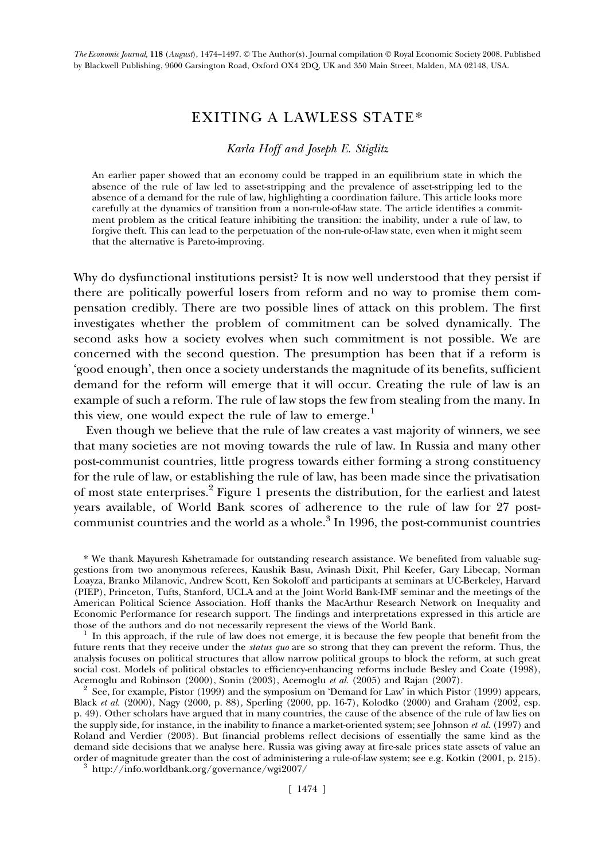# EXITING A LAWLESS STATE\*

## Karla Hoff and Joseph E. Stiglitz

An earlier paper showed that an economy could be trapped in an equilibrium state in which the absence of the rule of law led to asset-stripping and the prevalence of asset-stripping led to the absence of a demand for the rule of law, highlighting a coordination failure. This article looks more carefully at the dynamics of transition from a non-rule-of-law state. The article identifies a commitment problem as the critical feature inhibiting the transition: the inability, under a rule of law, to forgive theft. This can lead to the perpetuation of the non-rule-of-law state, even when it might seem that the alternative is Pareto-improving.

Why do dysfunctional institutions persist? It is now well understood that they persist if there are politically powerful losers from reform and no way to promise them compensation credibly. There are two possible lines of attack on this problem. The first investigates whether the problem of commitment can be solved dynamically. The second asks how a society evolves when such commitment is not possible. We are concerned with the second question. The presumption has been that if a reform is -good enough, then once a society understands the magnitude of its benefits, sufficient demand for the reform will emerge that it will occur. Creating the rule of law is an example of such a reform. The rule of law stops the few from stealing from the many. In this view, one would expect the rule of law to emerge.<sup>1</sup>

Even though we believe that the rule of law creates a vast majority of winners, we see that many societies are not moving towards the rule of law. In Russia and many other post-communist countries, little progress towards either forming a strong constituency for the rule of law, or establishing the rule of law, has been made since the privatisation of most state enterprises.<sup>2</sup> Figure 1 presents the distribution, for the earliest and latest years available, of World Bank scores of adherence to the rule of law for 27 postcommunist countries and the world as a whole. $3 \text{ In } 1996$ , the post-communist countries

\* We thank Mayuresh Kshetramade for outstanding research assistance. We benefited from valuable suggestions from two anonymous referees, Kaushik Basu, Avinash Dixit, Phil Keefer, Gary Libecap, Norman Loayza, Branko Milanovic, Andrew Scott, Ken Sokoloff and participants at seminars at UC-Berkeley, Harvard (PIEP), Princeton, Tufts, Stanford, UCLA and at the Joint World Bank-IMF seminar and the meetings of the American Political Science Association. Hoff thanks the MacArthur Research Network on Inequality and Economic Performance for research support. The findings and interpretations expressed in this article are

In this approach, if the rule of law does not emerge, it is because the few people that benefit from the future rents that they receive under the status quo are so strong that they can prevent the reform. Thus, the analysis focuses on political structures that allow narrow political groups to block the reform, at such great social cost. Models of political obstacles to efficiency-enhancing reforms include Besley and Coate (1998), Acemoglu and Robinson (2000), Sonin (2003), Acemoglu *et al.* (2005) and Rajan (2007).

Acemoglu and Robinson (2000), Sonin (2003), Acemoglu *et al.* (2005) and Rajan (2007).<br><sup>2</sup> See, for example, Pistor (1999) and the symposium on 'Demand for Law' in which Pistor (1999) appears, Black et al. (2000), Nagy (2000, p. 88), Sperling (2000, pp. 16-7), Kolodko (2000) and Graham (2002, esp. p. 49). Other scholars have argued that in many countries, the cause of the absence of the rule of law lies on the supply side, for instance, in the inability to finance a market-oriented system; see Johnson *et al.* (1997) and Roland and Verdier (2003). But financial problems reflect decisions of essentially the same kind as the demand side decisions that we analyse here. Russia was giving away at fire-sale prices state assets of value an order of magnitude greater than the cost of administering a rule-of-law system; see e.g. Kotkin (2001, p. 215). <sup>3</sup> http://info.worldbank.org/governance/wgi2007/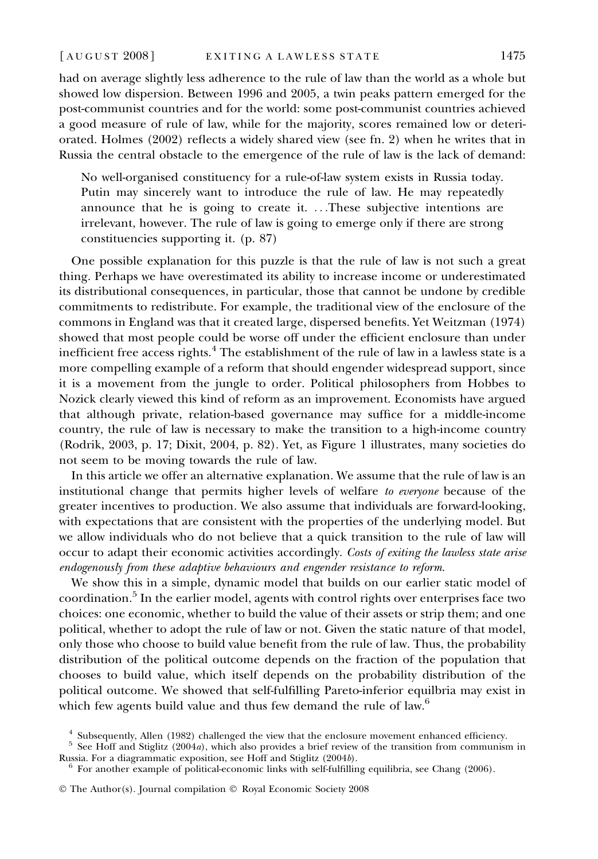had on average slightly less adherence to the rule of law than the world as a whole but showed low dispersion. Between 1996 and 2005, a twin peaks pattern emerged for the post-communist countries and for the world: some post-communist countries achieved a good measure of rule of law, while for the majority, scores remained low or deteriorated. Holmes (2002) reflects a widely shared view (see fn. 2) when he writes that in Russia the central obstacle to the emergence of the rule of law is the lack of demand:

No well-organised constituency for a rule-of-law system exists in Russia today. Putin may sincerely want to introduce the rule of law. He may repeatedly announce that he is going to create it. ...These subjective intentions are irrelevant, however. The rule of law is going to emerge only if there are strong constituencies supporting it. (p. 87)

One possible explanation for this puzzle is that the rule of law is not such a great thing. Perhaps we have overestimated its ability to increase income or underestimated its distributional consequences, in particular, those that cannot be undone by credible commitments to redistribute. For example, the traditional view of the enclosure of the commons in England was that it created large, dispersed benefits. Yet Weitzman (1974) showed that most people could be worse off under the efficient enclosure than under inefficient free access rights.<sup>4</sup> The establishment of the rule of law in a lawless state is a more compelling example of a reform that should engender widespread support, since it is a movement from the jungle to order. Political philosophers from Hobbes to Nozick clearly viewed this kind of reform as an improvement. Economists have argued that although private, relation-based governance may suffice for a middle-income country, the rule of law is necessary to make the transition to a high-income country (Rodrik, 2003, p. 17; Dixit, 2004, p. 82). Yet, as Figure 1 illustrates, many societies do not seem to be moving towards the rule of law.

In this article we offer an alternative explanation. We assume that the rule of law is an institutional change that permits higher levels of welfare to everyone because of the greater incentives to production. We also assume that individuals are forward-looking, with expectations that are consistent with the properties of the underlying model. But we allow individuals who do not believe that a quick transition to the rule of law will occur to adapt their economic activities accordingly. Costs of exiting the lawless state arise endogenously from these adaptive behaviours and engender resistance to reform.

We show this in a simple, dynamic model that builds on our earlier static model of coordination.<sup>5</sup> In the earlier model, agents with control rights over enterprises face two choices: one economic, whether to build the value of their assets or strip them; and one political, whether to adopt the rule of law or not. Given the static nature of that model, only those who choose to build value benefit from the rule of law. Thus, the probability distribution of the political outcome depends on the fraction of the population that chooses to build value, which itself depends on the probability distribution of the political outcome. We showed that self-fulfilling Pareto-inferior equilbria may exist in which few agents build value and thus few demand the rule of law.<sup>6</sup>

<sup>&</sup>lt;sup>4</sup> Subsequently, Allen (1982) challenged the view that the enclosure movement enhanced efficiency.<br><sup>5</sup> See Hoff and Stiglitz (2004a), which also provides a brief review of the transition from communism in Russia. For a d

 $\frac{6}{6}$  For another example of political-economic links with self-fulfilling equilibria, see Chang (2006).

<sup>©</sup> The Author(s). Journal compilation © Royal Economic Society 2008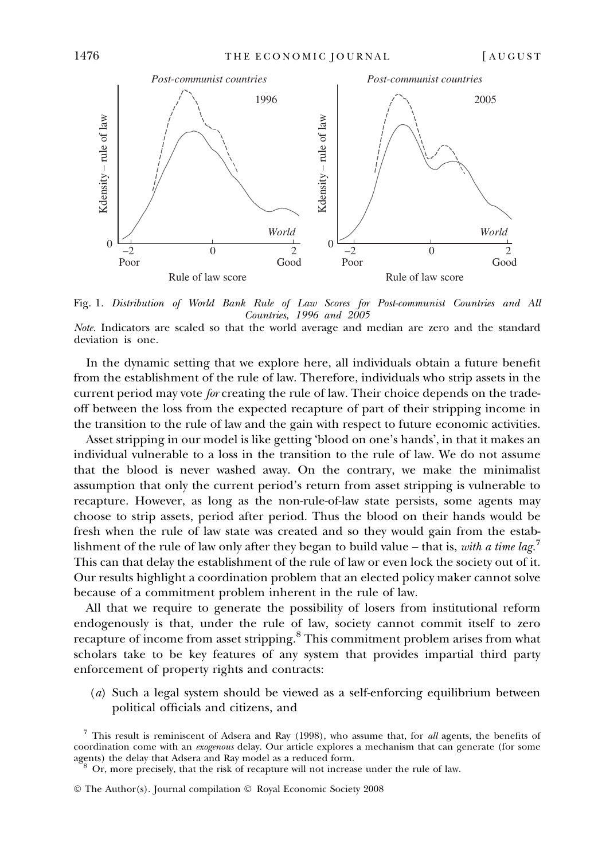

Fig. 1. Distribution of World Bank Rule of Law Scores for Post-communist Countries and All Countries, 1996 and 2005

Note. Indicators are scaled so that the world average and median are zero and the standard deviation is one.

In the dynamic setting that we explore here, all individuals obtain a future benefit from the establishment of the rule of law. Therefore, individuals who strip assets in the current period may vote for creating the rule of law. Their choice depends on the tradeoff between the loss from the expected recapture of part of their stripping income in the transition to the rule of law and the gain with respect to future economic activities.

Asset stripping in our model is like getting 'blood on one's hands', in that it makes an individual vulnerable to a loss in the transition to the rule of law. We do not assume that the blood is never washed away. On the contrary, we make the minimalist assumption that only the current period's return from asset stripping is vulnerable to recapture. However, as long as the non-rule-of-law state persists, some agents may choose to strip assets, period after period. Thus the blood on their hands would be fresh when the rule of law state was created and so they would gain from the establishment of the rule of law only after they began to build value – that is, with a time lag.<sup>7</sup> This can that delay the establishment of the rule of law or even lock the society out of it. Our results highlight a coordination problem that an elected policy maker cannot solve because of a commitment problem inherent in the rule of law.

All that we require to generate the possibility of losers from institutional reform endogenously is that, under the rule of law, society cannot commit itself to zero recapture of income from asset stripping.<sup>8</sup> This commitment problem arises from what scholars take to be key features of any system that provides impartial third party enforcement of property rights and contracts:

(a) Such a legal system should be viewed as a self-enforcing equilibrium between political officials and citizens, and

<sup>&</sup>lt;sup>7</sup> This result is reminiscent of Adsera and Ray (1998), who assume that, for *all* agents, the benefits of coordination come with an *exogenous* delay. Our article explores a mechanism that can generate (for some agents) the delay that Adsera and Ray model as a reduced form.

Or, more precisely, that the risk of recapture will not increase under the rule of law.

<sup>©</sup> The Author(s). Journal compilation © Royal Economic Society 2008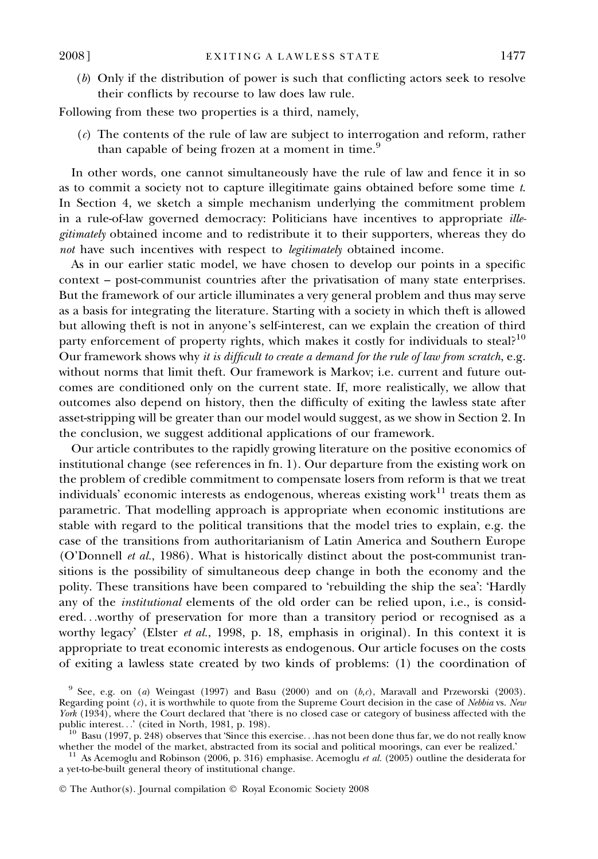(b) Only if the distribution of power is such that conflicting actors seek to resolve their conflicts by recourse to law does law rule.

Following from these two properties is a third, namely,

 $(c)$  The contents of the rule of law are subject to interrogation and reform, rather than capable of being frozen at a moment in time.<sup>9</sup>

In other words, one cannot simultaneously have the rule of law and fence it in so as to commit a society not to capture illegitimate gains obtained before some time t. In Section 4, we sketch a simple mechanism underlying the commitment problem in a rule-of-law governed democracy: Politicians have incentives to appropriate illegitimately obtained income and to redistribute it to their supporters, whereas they do not have such incentives with respect to legitimately obtained income.

As in our earlier static model, we have chosen to develop our points in a specific context – post-communist countries after the privatisation of many state enterprises. But the framework of our article illuminates a very general problem and thus may serve as a basis for integrating the literature. Starting with a society in which theft is allowed but allowing theft is not in anyone's self-interest, can we explain the creation of third party enforcement of property rights, which makes it costly for individuals to steal?<sup>10</sup> Our framework shows why it is difficult to create a demand for the rule of law from scratch, e.g. without norms that limit theft. Our framework is Markov; i.e. current and future outcomes are conditioned only on the current state. If, more realistically, we allow that outcomes also depend on history, then the difficulty of exiting the lawless state after asset-stripping will be greater than our model would suggest, as we show in Section 2. In the conclusion, we suggest additional applications of our framework.

Our article contributes to the rapidly growing literature on the positive economics of institutional change (see references in fn. 1). Our departure from the existing work on the problem of credible commitment to compensate losers from reform is that we treat individuals' economic interests as endogenous, whereas existing work $^{11}$  treats them as parametric. That modelling approach is appropriate when economic institutions are stable with regard to the political transitions that the model tries to explain, e.g. the case of the transitions from authoritarianism of Latin America and Southern Europe (O'Donnell et al., 1986). What is historically distinct about the post-communist transitions is the possibility of simultaneous deep change in both the economy and the polity. These transitions have been compared to 'rebuilding the ship the sea': 'Hardly any of the institutional elements of the old order can be relied upon, i.e., is considered...worthy of preservation for more than a transitory period or recognised as a worthy legacy' (Elster et al., 1998, p. 18, emphasis in original). In this context it is appropriate to treat economic interests as endogenous. Our article focuses on the costs of exiting a lawless state created by two kinds of problems: (1) the coordination of

<sup>&</sup>lt;sup>9</sup> See, e.g. on (a) Weingast (1997) and Basu (2000) and on  $(b, c)$ , Maravall and Przeworski (2003). Regarding point (c), it is worthwhile to quote from the Supreme Court decision in the case of Nebbia vs. New York (1934), where the Court declared that 'there is no closed case or category of business affected with the public interest...' (cited in North, 1981, p. 198).<br><sup>10</sup> Basu (1997, p. 248) observes that 'Since this exercise...has not been done thus far, we do not really know

whether the model of the market, abstracted from its social and political moorings, can ever be realized.'<br><sup>11</sup> As Acemoglu and Robinson (2006, p. 316) emphasise. Acemoglu *et al.* (2005) outline the desiderata for

a yet-to-be-built general theory of institutional change.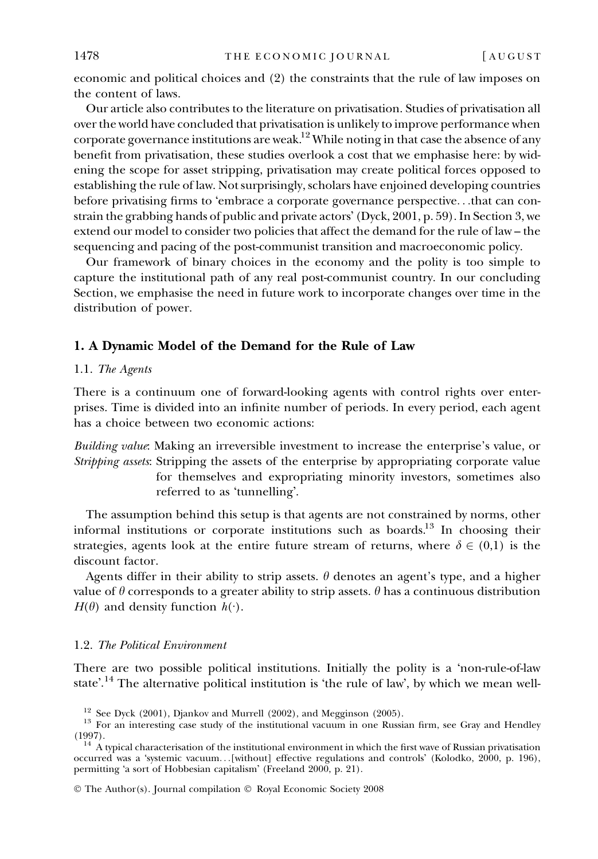economic and political choices and (2) the constraints that the rule of law imposes on the content of laws.

Our article also contributes to the literature on privatisation. Studies of privatisation all over the world have concluded that privatisation is unlikely to improve performance when corporate governance institutions are weak.<sup>12</sup> While noting in that case the absence of any benefit from privatisation, these studies overlook a cost that we emphasise here: by widening the scope for asset stripping, privatisation may create political forces opposed to establishing the rule of law. Not surprisingly, scholars have enjoined developing countries before privatising firms to 'embrace a corporate governance perspective. . .that can constrain the grabbing hands of public and private actors (Dyck, 2001, p. 59). In Section 3, we extend our model to consider two policies that affect the demand for the rule of law – the sequencing and pacing of the post-communist transition and macroeconomic policy.

Our framework of binary choices in the economy and the polity is too simple to capture the institutional path of any real post-communist country. In our concluding Section, we emphasise the need in future work to incorporate changes over time in the distribution of power.

# 1. A Dynamic Model of the Demand for the Rule of Law

### 1.1. The Agents

There is a continuum one of forward-looking agents with control rights over enterprises. Time is divided into an infinite number of periods. In every period, each agent has a choice between two economic actions:

Building value: Making an irreversible investment to increase the enterprise's value, or Stripping assets: Stripping the assets of the enterprise by appropriating corporate value for themselves and expropriating minority investors, sometimes also referred to as 'tunnelling'.

The assumption behind this setup is that agents are not constrained by norms, other informal institutions or corporate institutions such as boards.13 In choosing their strategies, agents look at the entire future stream of returns, where  $\delta \in (0,1)$  is the discount factor.

Agents differ in their ability to strip assets.  $\theta$  denotes an agent's type, and a higher value of  $\theta$  corresponds to a greater ability to strip assets.  $\theta$  has a continuous distribution  $H(\theta)$  and density function  $h(\cdot)$ .

#### 1.2. The Political Environment

There are two possible political institutions. Initially the polity is a 'non-rule-of-law state'.<sup>14</sup> The alternative political institution is 'the rule of law', by which we mean well-

<sup>&</sup>lt;sup>12</sup> See Dyck (2001), Djankov and Murrell (2002), and Megginson (2005).<br><sup>13</sup> For an interesting case study of the institutional vacuum in one Russian firm, see Gray and Hendley (1997).

 $14 \text{ A}$  typical characterisation of the institutional environment in which the first wave of Russian privatisation occurred was a 'systemic vacuum...[without] effective regulations and controls' (Kolodko, 2000, p. 196), permitting 'a sort of Hobbesian capitalism' (Freeland 2000, p. 21).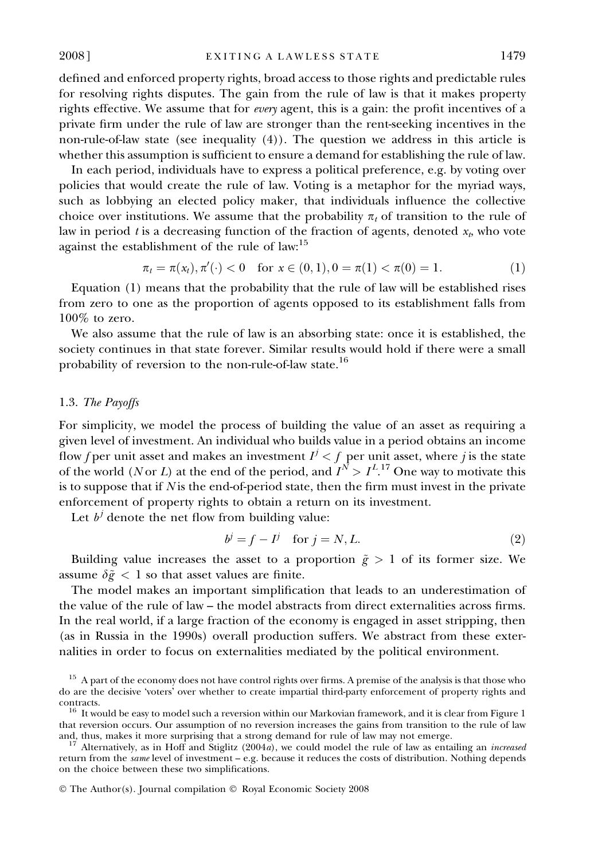defined and enforced property rights, broad access to those rights and predictable rules for resolving rights disputes. The gain from the rule of law is that it makes property rights effective. We assume that for every agent, this is a gain: the profit incentives of a private firm under the rule of law are stronger than the rent-seeking incentives in the non-rule-of-law state (see inequality (4)). The question we address in this article is whether this assumption is sufficient to ensure a demand for establishing the rule of law.

In each period, individuals have to express a political preference, e.g. by voting over policies that would create the rule of law. Voting is a metaphor for the myriad ways, such as lobbying an elected policy maker, that individuals influence the collective choice over institutions. We assume that the probability  $\pi_t$  of transition to the rule of law in period  $t$  is a decreasing function of the fraction of agents, denoted  $x<sub>b</sub>$  who vote against the establishment of the rule of law:<sup>15</sup>

$$
\pi_t = \pi(x_t), \pi'(\cdot) < 0 \quad \text{for } x \in (0, 1), 0 = \pi(1) < \pi(0) = 1. \tag{1}
$$

Equation (1) means that the probability that the rule of law will be established rises from zero to one as the proportion of agents opposed to its establishment falls from 100% to zero.

We also assume that the rule of law is an absorbing state: once it is established, the society continues in that state forever. Similar results would hold if there were a small probability of reversion to the non-rule-of-law state.<sup>16</sup>

## 1.3. The Payoffs

For simplicity, we model the process of building the value of an asset as requiring a given level of investment. An individual who builds value in a period obtains an income flow  $f$  per unit asset and makes an investment  $I^j < f$  per unit asset, where  $j$  is the state of the world (N or L) at the end of the period, and  $I^N > I^{L,17}$  One way to motivate this is to suppose that if  $N$  is the end-of-period state, then the firm must invest in the private enforcement of property rights to obtain a return on its investment.

Let  $b^j$  denote the net flow from building value:

$$
b^j = f - I^j \quad \text{for } j = N, L. \tag{2}
$$

Building value increases the asset to a proportion  $\tilde{g} > 1$  of its former size. We assume  $\delta \tilde{g} < 1$  so that asset values are finite.

The model makes an important simplification that leads to an underestimation of the value of the rule of law – the model abstracts from direct externalities across firms. In the real world, if a large fraction of the economy is engaged in asset stripping, then (as in Russia in the 1990s) overall production suffers. We abstract from these externalities in order to focus on externalities mediated by the political environment.

<sup>&</sup>lt;sup>15</sup> A part of the economy does not have control rights over firms. A premise of the analysis is that those who do are the decisive 'voters' over whether to create impartial third-party enforcement of property rights and contracts. <sup>16</sup> It would be easy to model such a reversion within our Markovian framework, and it is clear from Figure 1

that reversion occurs. Our assumption of no reversion increases the gains from transition to the rule of law and, thus, makes it more surprising that a strong demand for rule of law may not emerge.

<sup>&</sup>lt;sup>17</sup> Alternatively, as in Hoff and Stiglitz (2004a), we could model the rule of law as entailing an *increased* return from the same level of investment – e.g. because it reduces the costs of distribution. Nothing depends on the choice between these two simplifications.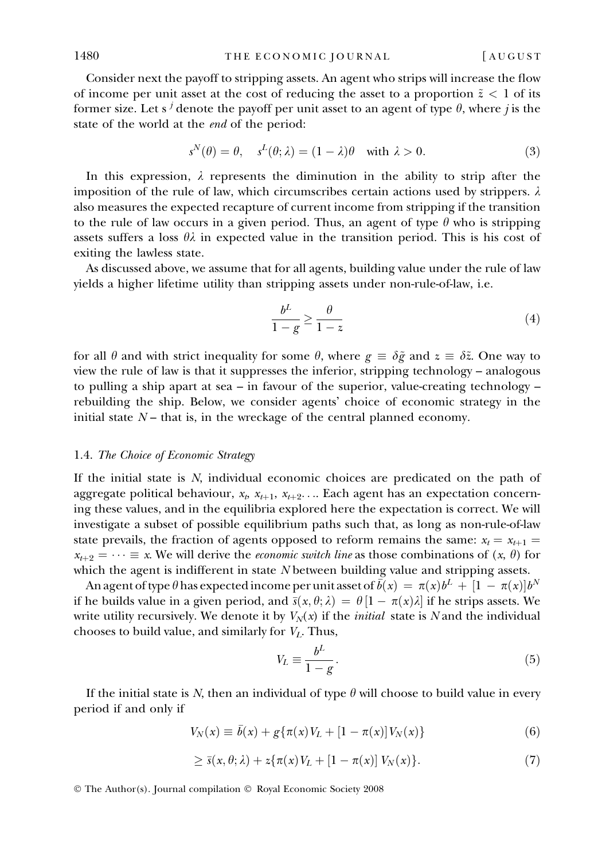Consider next the payoff to stripping assets. An agent who strips will increase the flow of income per unit asset at the cost of reducing the asset to a proportion  $\tilde{z}$  < 1 of its former size. Let s  $^j$  denote the payoff per unit asset to an agent of type  $\theta,$  where  $j$  is the state of the world at the *end* of the period:

$$
s^N(\theta) = \theta, \quad s^L(\theta; \lambda) = (1 - \lambda)\theta \quad \text{with } \lambda > 0. \tag{3}
$$

In this expression,  $\lambda$  represents the diminution in the ability to strip after the imposition of the rule of law, which circumscribes certain actions used by strippers.  $\lambda$ also measures the expected recapture of current income from stripping if the transition to the rule of law occurs in a given period. Thus, an agent of type  $\theta$  who is stripping assets suffers a loss  $\theta \lambda$  in expected value in the transition period. This is his cost of exiting the lawless state.

As discussed above, we assume that for all agents, building value under the rule of law yields a higher lifetime utility than stripping assets under non-rule-of-law, i.e.

$$
\frac{b^L}{1-g} \ge \frac{\theta}{1-z} \tag{4}
$$

for all  $\theta$  and with strict inequality for some  $\theta$ , where  $g \equiv \delta \tilde{g}$  and  $z \equiv \delta \tilde{z}$ . One way to view the rule of law is that it suppresses the inferior, stripping technology – analogous to pulling a ship apart at sea – in favour of the superior, value-creating technology – rebuilding the ship. Below, we consider agents' choice of economic strategy in the initial state  $N-$  that is, in the wreckage of the central planned economy.

### 1.4. The Choice of Economic Strategy

If the initial state is N, individual economic choices are predicated on the path of aggregate political behaviour,  $x_b$ ,  $x_{t+1}$ ,  $x_{t+2}$ .... Each agent has an expectation concerning these values, and in the equilibria explored here the expectation is correct. We will investigate a subset of possible equilibrium paths such that, as long as non-rule-of-law state prevails, the fraction of agents opposed to reform remains the same:  $x_t = x_{t+1}$  $x_{t+2} = \cdots \equiv x$ . We will derive the *economic switch line* as those combinations of  $(x, \theta)$  for which the agent is indifferent in state N between building value and stripping assets.

An agent of type  $\theta$  has expected income per unit asset of  $\bar{b}(x)\,=\,\pi(x)b^L\,+\,[1\,-\,\pi(x)]b^N$ if he builds value in a given period, and  $\bar{s}(x,\theta;\lambda) = \theta \left[1 - \pi(x)\lambda\right]$  if he strips assets. We write utility recursively. We denote it by  $V_N(x)$  if the *initial* state is N and the individual chooses to build value, and similarly for  $V_L$ . Thus,

$$
V_L \equiv \frac{b^L}{1 - g}.\tag{5}
$$

If the initial state is N, then an individual of type  $\theta$  will choose to build value in every period if and only if

$$
V_N(x) \equiv \bar{b}(x) + g\{\pi(x)V_L + [1 - \pi(x)]V_N(x)\}\tag{6}
$$

$$
\geq \overline{s}(x,\theta;\lambda) + z\{\pi(x)V_L + [1-\pi(x)]V_N(x)\}.
$$
 (7)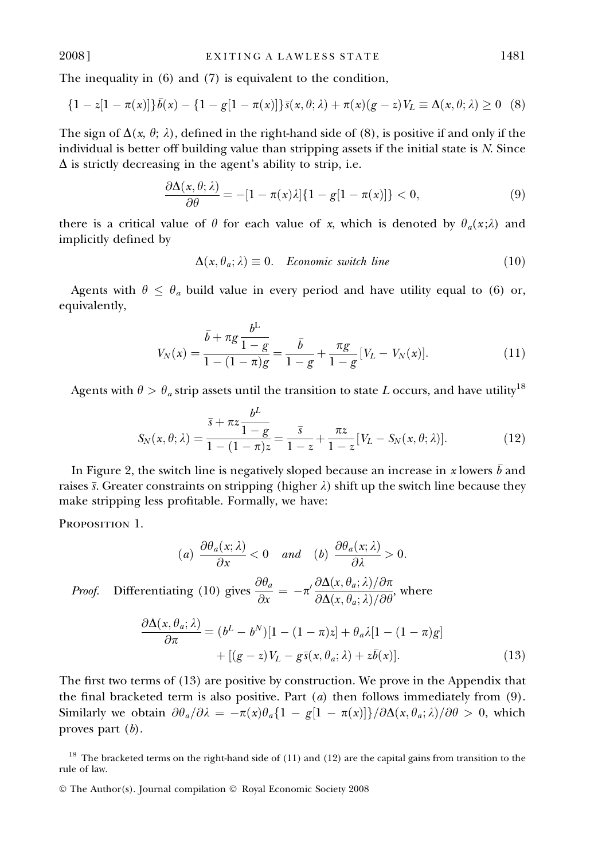The inequality in (6) and (7) is equivalent to the condition,

$$
\{1 - z[1 - \pi(x)]\}\bar{b}(x) - \{1 - g[1 - \pi(x)]\}\bar{s}(x, \theta; \lambda) + \pi(x)(g - z)V_L \equiv \Delta(x, \theta; \lambda) \ge 0 \quad (8)
$$

The sign of  $\Delta(x, \theta; \lambda)$ , defined in the right-hand side of (8), is positive if and only if the individual is better off building value than stripping assets if the initial state is  $N$ . Since  $\Delta$  is strictly decreasing in the agent's ability to strip, i.e.

$$
\frac{\partial \Delta(x,\theta;\lambda)}{\partial \theta} = -[1 - \pi(x)\lambda]\{1 - g[1 - \pi(x)]\} < 0,\tag{9}
$$

there is a critical value of  $\theta$  for each value of x, which is denoted by  $\theta_a(x;\lambda)$  and implicitly defined by

$$
\Delta(x, \theta_a; \lambda) \equiv 0. \quad Economic \, switch \, line \tag{10}
$$

Agents with  $\theta \leq \theta_a$  build value in every period and have utility equal to (6) or, equivalently,

$$
V_N(x) = \frac{\bar{b} + \pi g \frac{b^L}{1 - g}}{1 - (1 - \pi)g} = \frac{\bar{b}}{1 - g} + \frac{\pi g}{1 - g} [V_L - V_N(x)].
$$
\n(11)

Agents with  $\theta > \theta_a$  strip assets until the transition to state L occurs, and have utility<sup>18</sup>

$$
S_N(x, \theta; \lambda) = \frac{\bar{s} + \pi z \frac{b^L}{1 - g}}{1 - (1 - \pi)z} = \frac{\bar{s}}{1 - z} + \frac{\pi z}{1 - z} [V_L - S_N(x, \theta; \lambda)].
$$
\n(12)

In Figure 2, the switch line is negatively sloped because an increase in  $\bm{{\rm x}}$  lowers  $\bar{{\rm \mathit{b}}}$  and raises  $\bar{s}$ . Greater constraints on stripping (higher  $\lambda$ ) shift up the switch line because they make stripping less profitable. Formally, we have:

Proposition 1.

(a) 
$$
\frac{\partial \theta_a(x;\lambda)}{\partial x} < 0
$$
 and (b)  $\frac{\partial \theta_a(x;\lambda)}{\partial \lambda} > 0$ .

*Proof.* Differentiating (10) gives  $\frac{\partial \theta_a}{\partial x} = -\pi' \frac{\partial \Delta(x, \theta_a; \lambda)/\partial \pi}{\partial \Delta(x, \theta_a; \lambda)/\partial \theta}$ , where

$$
\frac{\partial \Delta(x, \theta_a; \lambda)}{\partial \pi} = (b^L - b^N)[1 - (1 - \pi)z] + \theta_a \lambda [1 - (1 - \pi)g]
$$

$$
+ [(g - z)V_L - g\overline{s}(x, \theta_a; \lambda) + z\overline{b}(x)].
$$
(13)

The first two terms of (13) are positive by construction. We prove in the Appendix that the final bracketed term is also positive. Part  $(a)$  then follows immediately from  $(9)$ . Similarly we obtain  $\partial \theta_a/\partial \lambda = -\pi(x)\theta_a \{1 - g[1 - \pi(x)]\}/\partial \Delta(x, \theta_a; \lambda)/\partial \theta > 0$ , which proves part (b).

<sup>&</sup>lt;sup>18</sup> The bracketed terms on the right-hand side of  $(11)$  and  $(12)$  are the capital gains from transition to the rule of law.

<sup>©</sup> The Author(s). Journal compilation © Royal Economic Society 2008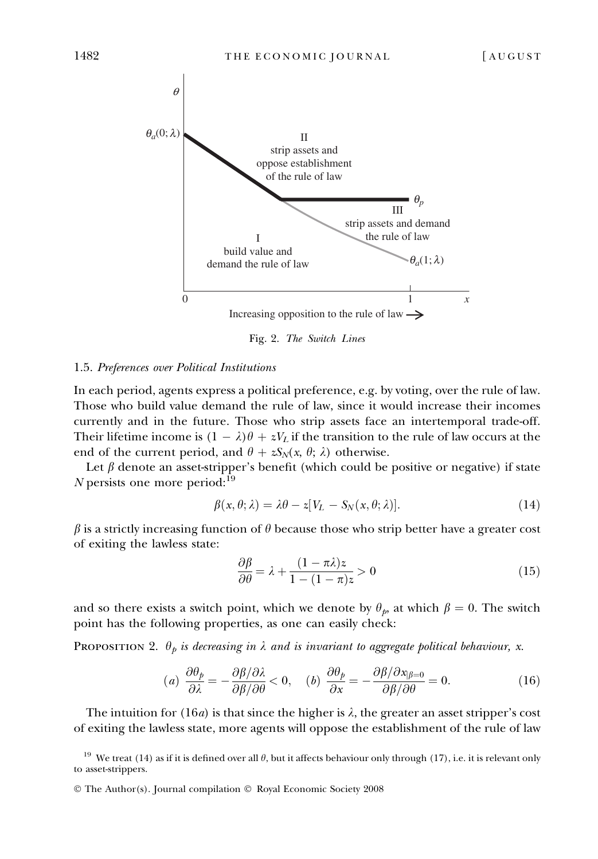

Fig. 2. The Switch Lines

### 1.5. Preferences over Political Institutions

In each period, agents express a political preference, e.g. by voting, over the rule of law. Those who build value demand the rule of law, since it would increase their incomes currently and in the future. Those who strip assets face an intertemporal trade-off. Their lifetime income is  $(1 - \lambda)\theta + zV_L$  if the transition to the rule of law occurs at the end of the current period, and  $\theta + zS_N(x, \theta; \lambda)$  otherwise.

Let  $\beta$  denote an asset-stripper's benefit (which could be positive or negative) if state N persists one more period: $^{19}$ 

$$
\beta(x,\theta;\lambda) = \lambda\theta - z[V_L - S_N(x,\theta;\lambda)].
$$
\n(14)

 $\beta$  is a strictly increasing function of  $\theta$  because those who strip better have a greater cost of exiting the lawless state:

$$
\frac{\partial \beta}{\partial \theta} = \lambda + \frac{(1 - \pi \lambda)z}{1 - (1 - \pi)z} > 0
$$
\n(15)

and so there exists a switch point, which we denote by  $\theta_p$ , at which  $\beta = 0$ . The switch point has the following properties, as one can easily check:

PROPOSITION 2.  $\theta_p$  is decreasing in  $\lambda$  and is invariant to aggregate political behaviour, x.

$$
(a) \ \frac{\partial \theta_p}{\partial \lambda} = -\frac{\partial \beta / \partial \lambda}{\partial \beta / \partial \theta} < 0, \quad (b) \ \frac{\partial \theta_p}{\partial x} = -\frac{\partial \beta / \partial x_{|\beta=0}}{\partial \beta / \partial \theta} = 0. \tag{16}
$$

The intuition for (16*a*) is that since the higher is  $\lambda$ , the greater an asset stripper's cost of exiting the lawless state, more agents will oppose the establishment of the rule of law

<sup>&</sup>lt;sup>19</sup> We treat (14) as if it is defined over all  $\theta$ , but it affects behaviour only through (17), i.e. it is relevant only to asset-strippers.

<sup>©</sup> The Author(s). Journal compilation © Royal Economic Society 2008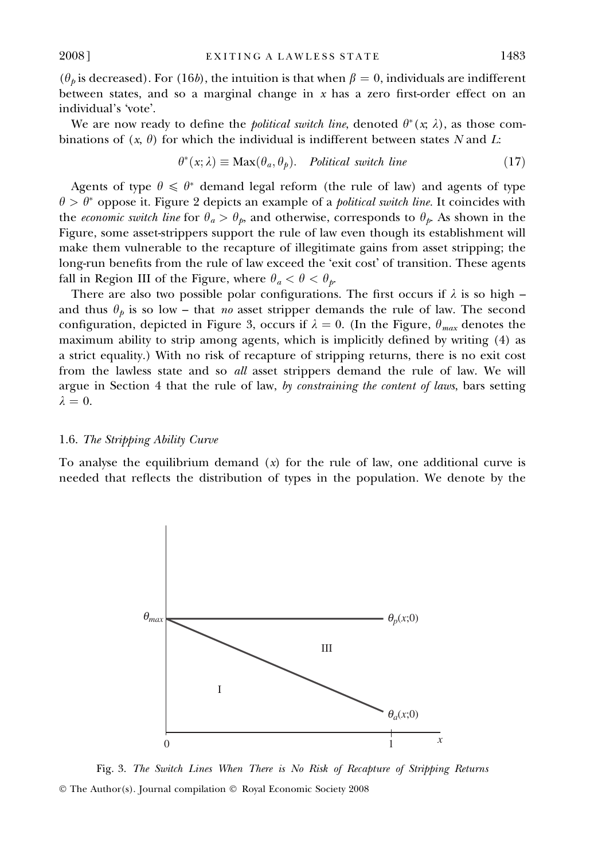$(\theta_b)$  is decreased). For (16b), the intuition is that when  $\beta = 0$ , individuals are indifferent between states, and so a marginal change in  $x$  has a zero first-order effect on an individual's 'vote'.

We are now ready to define the *political switch line*, denoted  $\theta^*(x; \lambda)$ , as those combinations of  $(x, \theta)$  for which the individual is indifferent between states N and L:

$$
\theta^*(x; \lambda) \equiv \text{Max}(\theta_a, \theta_p). \quad \text{Poltical switch line} \tag{17}
$$

Agents of type  $\theta \leq \theta^*$  demand legal reform (the rule of law) and agents of type  $\theta > \theta^*$  oppose it. Figure 2 depicts an example of a *political switch line*. It coincides with the *economic switch line* for  $\theta_a > \theta_p$ , and otherwise, corresponds to  $\theta_p$ . As shown in the Figure, some asset-strippers support the rule of law even though its establishment will make them vulnerable to the recapture of illegitimate gains from asset stripping; the long-run benefits from the rule of law exceed the 'exit cost' of transition. These agents fall in Region III of the Figure, where  $\theta_a < \theta < \theta_p$ .

There are also two possible polar configurations. The first occurs if  $\lambda$  is so high – and thus  $\theta_p$  is so low – that no asset stripper demands the rule of law. The second configuration, depicted in Figure 3, occurs if  $\lambda = 0$ . (In the Figure,  $\theta_{max}$  denotes the maximum ability to strip among agents, which is implicitly defined by writing (4) as a strict equality.) With no risk of recapture of stripping returns, there is no exit cost from the lawless state and so all asset strippers demand the rule of law. We will argue in Section 4 that the rule of law, by constraining the content of laws, bars setting  $\lambda = 0.$ 

#### 1.6. The Stripping Ability Curve

To analyse the equilibrium demand  $(x)$  for the rule of law, one additional curve is needed that reflects the distribution of types in the population. We denote by the



Fig. 3. The Switch Lines When There is No Risk of Recapture of Stripping Returns © The Author(s). Journal compilation © Royal Economic Society 2008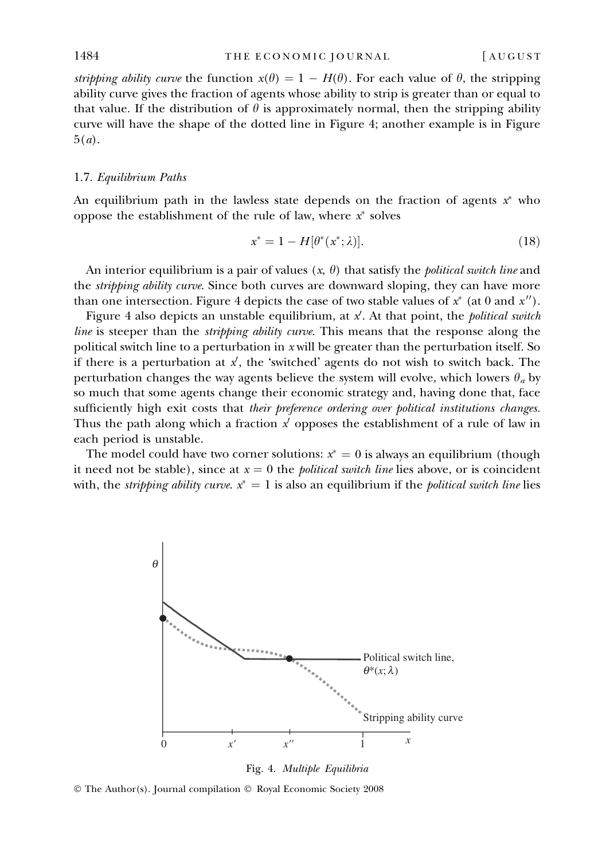stripping ability curve the function  $x(\theta) = 1 - H(\theta)$ . For each value of  $\theta$ , the stripping ability curve gives the fraction of agents whose ability to strip is greater than or equal to that value. If the distribution of  $\theta$  is approximately normal, then the stripping ability curve will have the shape of the dotted line in Figure 4; another example is in Figure  $5(a)$ .

## 1.7. Equilibrium Paths

An equilibrium path in the lawless state depends on the fraction of agents  $x^*$  who oppose the establishment of the rule of law, where  $x^*$  solves

$$
x^* = 1 - H[\theta^*(x^*; \lambda)].
$$
\n(18)

An interior equilibrium is a pair of values  $(x, \theta)$  that satisfy the *political switch line* and the *stripping ability curve*. Since both curves are downward sloping, they can have more than one intersection. Figure 4 depicts the case of two stable values of  $x^*$  (at 0 and  $x''$ ).

Figure 4 also depicts an unstable equilibrium, at  $x'$ . At that point, the *political switch* line is steeper than the *stripping ability curve*. This means that the response along the political switch line to a perturbation in x will be greater than the perturbation itself. So if there is a perturbation at  $x'$ , the 'switched' agents do not wish to switch back. The perturbation changes the way agents believe the system will evolve, which lowers  $\theta_a$  by so much that some agents change their economic strategy and, having done that, face sufficiently high exit costs that their preference ordering over political institutions changes. Thus the path along which a fraction  $x'$  opposes the establishment of a rule of law in each period is unstable.

The model could have two corner solutions:  $x^* = 0$  is always an equilibrium (though it need not be stable), since at  $x = 0$  the *political switch line* lies above, or is coincident with, the *stripping ability curve.*  $x^* = 1$  is also an equilibrium if the *political switch line* lies



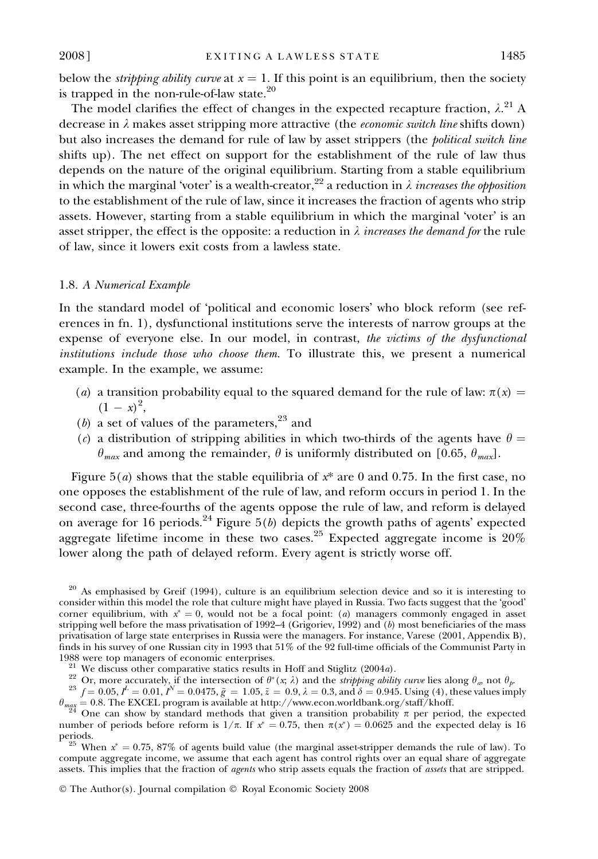The model clarifies the effect of changes in the expected recapture fraction,  $\lambda^{21}$  A decrease in  $\lambda$  makes asset stripping more attractive (the *economic switch line* shifts down) but also increases the demand for rule of law by asset strippers (the political switch line shifts up). The net effect on support for the establishment of the rule of law thus depends on the nature of the original equilibrium. Starting from a stable equilibrium in which the marginal 'voter' is a wealth-creator, $^{22}$  a reduction in  $\lambda$  *increases the opposition* to the establishment of the rule of law, since it increases the fraction of agents who strip assets. However, starting from a stable equilibrium in which the marginal 'voter' is an asset stripper, the effect is the opposite: a reduction in  $\lambda$  increases the demand for the rule of law, since it lowers exit costs from a lawless state.

### 1.8. A Numerical Example

In the standard model of 'political and economic losers' who block reform (see references in fn. 1), dysfunctional institutions serve the interests of narrow groups at the expense of everyone else. In our model, in contrast, the victims of the dysfunctional institutions include those who choose them. To illustrate this, we present a numerical example. In the example, we assume:

- (*a*) a transition probability equal to the squared demand for the rule of law:  $\pi(x)$  =  $(1 - x)^2$ ,
- (b) a set of values of the parameters,  $^{23}$  and
- (c) a distribution of stripping abilities in which two-thirds of the agents have  $\theta =$  $\theta_{max}$  and among the remainder,  $\theta$  is uniformly distributed on [0.65,  $\theta_{max}$ ].

Figure  $5(a)$  shows that the stable equilibria of  $x^*$  are 0 and 0.75. In the first case, no one opposes the establishment of the rule of law, and reform occurs in period 1. In the second case, three-fourths of the agents oppose the rule of law, and reform is delayed on average for 16 periods.<sup>24</sup> Figure 5(b) depicts the growth paths of agents' expected aggregate lifetime income in these two cases.<sup>25</sup> Expected aggregate income is 20% lower along the path of delayed reform. Every agent is strictly worse off.

 $20$  As emphasised by Greif (1994), culture is an equilibrium selection device and so it is interesting to consider within this model the role that culture might have played in Russia. Two facts suggest that the 'good' corner equilibrium, with  $x^* = 0$ , would not be a focal point: (a) managers commonly engaged in asset stripping well before the mass privatisation of 1992–4 (Grigoriev, 1992) and  $(b)$  most beneficiaries of the mass privatisation of large state enterprises in Russia were the managers. For instance, Varese (2001, Appendix B), finds in his survey of one Russian city in 1993 that 51% of the 92 full-time officials of the Communist Party in

1988 were top managers of economic enterprises.<br><sup>21</sup> We discuss other comparative statics results in Hoff and Stiglitz (2004*a*).<br><sup>22</sup> Or, more accurately, if the intersection of  $\theta^*(x, \lambda)$  and the *stripping ability cur*  $L^L = 0.01$ ,  $I^N = 0.0475$ ,  $\tilde{g} = 1.05$ ,  $\tilde{z} = 0.9$ ,  $\lambda = 0.3$ , and  $\delta = 0.945$ . Using (4), these values imply

 $h_{\text{max}} = 0.8$ . The EXCEL program is available at http://www.econ.worldbank.org/staff<sup>/khoff</sup>. 24 One can show by standard methods that given a transition probability  $\pi$  per period, the expected number of periods before reform is  $1/\pi$ . If  $x^* = 0.75$ , then  $\pi(x^*) = 0.0625$  and the expected delay is 16 periods.

<sup>25</sup> When  $x^* = 0.75$ , 87% of agents build value (the marginal asset-stripper demands the rule of law). To compute aggregate income, we assume that each agent has control rights over an equal share of aggregate assets. This implies that the fraction of agents who strip assets equals the fraction of assets that are stripped.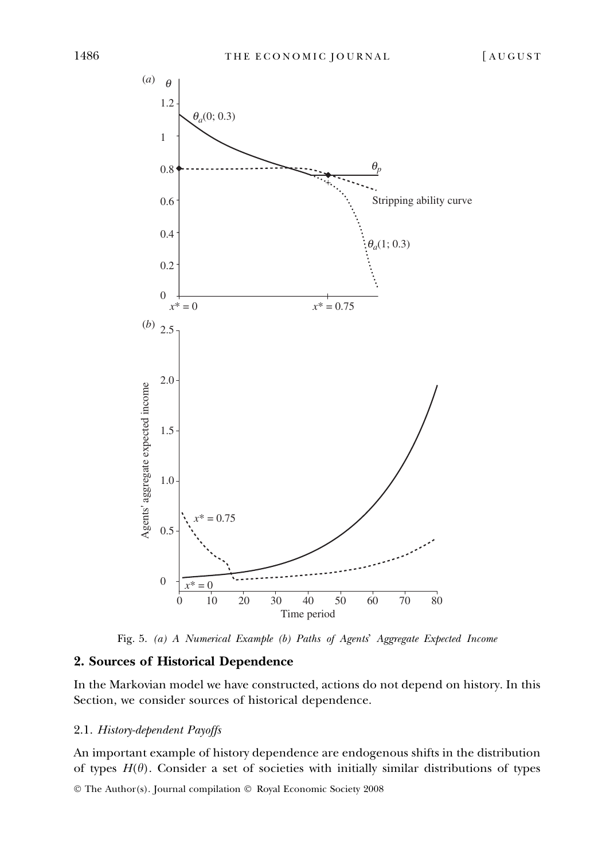

Fig. 5. (a) A Numerical Example (b) Paths of Agents' Aggregate Expected Income

# 2. Sources of Historical Dependence

In the Markovian model we have constructed, actions do not depend on history. In this Section, we consider sources of historical dependence.

## 2.1. History-dependent Payoffs

An important example of history dependence are endogenous shifts in the distribution of types  $H(\theta)$ . Consider a set of societies with initially similar distributions of types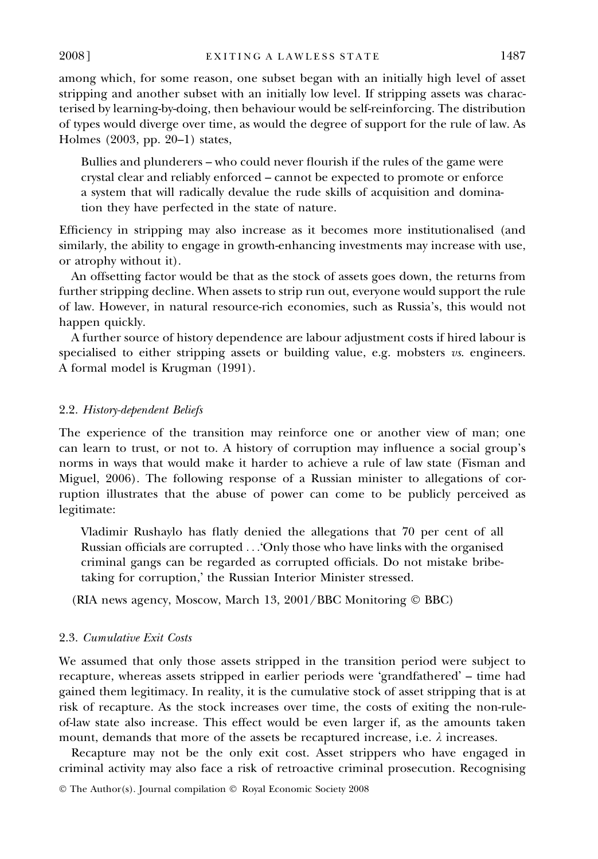among which, for some reason, one subset began with an initially high level of asset stripping and another subset with an initially low level. If stripping assets was characterised by learning-by-doing, then behaviour would be self-reinforcing. The distribution of types would diverge over time, as would the degree of support for the rule of law. As Holmes (2003, pp. 20–1) states,

Bullies and plunderers – who could never flourish if the rules of the game were crystal clear and reliably enforced – cannot be expected to promote or enforce a system that will radically devalue the rude skills of acquisition and domination they have perfected in the state of nature.

Efficiency in stripping may also increase as it becomes more institutionalised (and similarly, the ability to engage in growth-enhancing investments may increase with use, or atrophy without it).

An offsetting factor would be that as the stock of assets goes down, the returns from further stripping decline. When assets to strip run out, everyone would support the rule of law. However, in natural resource-rich economies, such as Russia's, this would not happen quickly.

A further source of history dependence are labour adjustment costs if hired labour is specialised to either stripping assets or building value, e.g. mobsters vs. engineers. A formal model is Krugman (1991).

## 2.2. History-dependent Beliefs

The experience of the transition may reinforce one or another view of man; one can learn to trust, or not to. A history of corruption may influence a social group's norms in ways that would make it harder to achieve a rule of law state (Fisman and Miguel, 2006). The following response of a Russian minister to allegations of corruption illustrates that the abuse of power can come to be publicly perceived as legitimate:

Vladimir Rushaylo has flatly denied the allegations that 70 per cent of all Russian officials are corrupted ...-Only those who have links with the organised criminal gangs can be regarded as corrupted officials. Do not mistake bribetaking for corruption,' the Russian Interior Minister stressed.

(RIA news agency, Moscow, March 13, 2001/BBC Monitoring © BBC)

# 2.3. Cumulative Exit Costs

We assumed that only those assets stripped in the transition period were subject to recapture, whereas assets stripped in earlier periods were 'grandfathered' - time had gained them legitimacy. In reality, it is the cumulative stock of asset stripping that is at risk of recapture. As the stock increases over time, the costs of exiting the non-ruleof-law state also increase. This effect would be even larger if, as the amounts taken mount, demands that more of the assets be recaptured increase, i.e.  $\lambda$  increases.

Recapture may not be the only exit cost. Asset strippers who have engaged in criminal activity may also face a risk of retroactive criminal prosecution. Recognising

<sup>©</sup> The Author(s). Journal compilation © Royal Economic Society 2008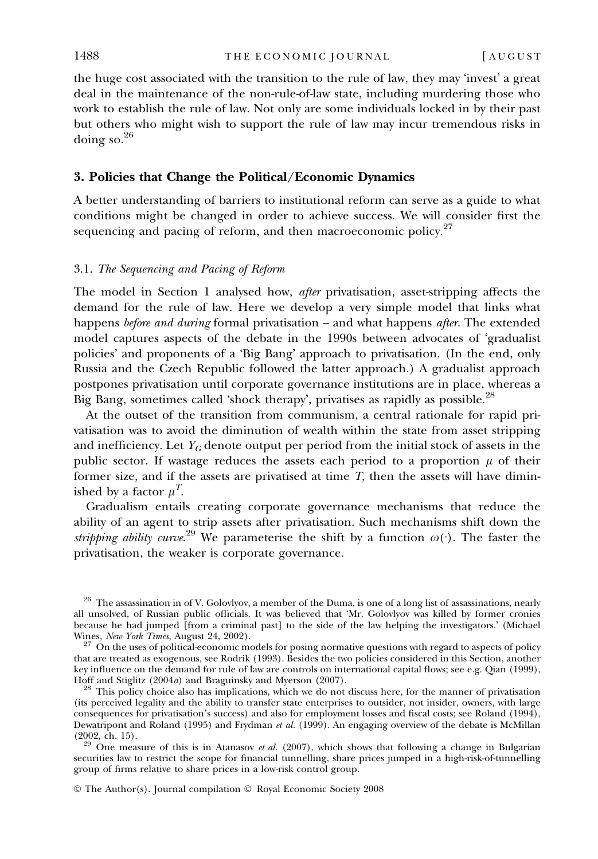1488 THE ECONOMIC JOURNAL [AUGUST

the huge cost associated with the transition to the rule of law, they may 'invest' a great deal in the maintenance of the non-rule-of-law state, including murdering those who work to establish the rule of law. Not only are some individuals locked in by their past but others who might wish to support the rule of law may incur tremendous risks in doing so. $26$ 

# 3. Policies that Change the Political/Economic Dynamics

A better understanding of barriers to institutional reform can serve as a guide to what conditions might be changed in order to achieve success. We will consider first the sequencing and pacing of reform, and then macroeconomic policy. $27$ 

# 3.1. The Sequencing and Pacing of Reform

The model in Section 1 analysed how, *after* privatisation, asset-stripping affects the demand for the rule of law. Here we develop a very simple model that links what happens before and during formal privatisation – and what happens after. The extended model captures aspects of the debate in the 1990s between advocates of 'gradualist policies' and proponents of a 'Big Bang' approach to privatisation. (In the end, only Russia and the Czech Republic followed the latter approach.) A gradualist approach postpones privatisation until corporate governance institutions are in place, whereas a Big Bang, sometimes called 'shock therapy', privatises as rapidly as possible.<sup>28</sup>

At the outset of the transition from communism, a central rationale for rapid privatisation was to avoid the diminution of wealth within the state from asset stripping and inefficiency. Let  $Y_G$  denote output per period from the initial stock of assets in the public sector. If wastage reduces the assets each period to a proportion  $\mu$  of their former size, and if the assets are privatised at time  $T$ , then the assets will have diminished by a factor  $\mu^T$ .

Gradualism entails creating corporate governance mechanisms that reduce the ability of an agent to strip assets after privatisation. Such mechanisms shift down the stripping ability curve.<sup>29</sup> We parameterise the shift by a function  $\omega(\cdot)$ . The faster the privatisation, the weaker is corporate governance.

<sup>26</sup> The assassination in of V. Golovlyov, a member of the Duma, is one of a long list of assassinations, nearly all unsolved, of Russian public officials. It was believed that 'Mr. Golovlyov was killed by former cronies because he had jumped [from a criminal past] to the side of the law helping the investigators.' (Michael Wines, New York Times, August 24, 2002).

<sup>27</sup> On the uses of political-economic models for posing normative questions with regard to aspects of policy that are treated as exogenous, see Rodrik (1993). Besides the two policies considered in this Section, another key influence on the demand for rule of law are controls on international capital flows; see e.g. Qian (1999), Hoff and Stiglitz (2004a) and Braguinsky and Myerson (2007).

 $^{28}$  This policy choice also has implications, which we do not discuss here, for the manner of privatisation (its perceived legality and the ability to transfer state enterprises to outsider, not insider, owners, with large consequences for privatisation's success) and also for employment losses and fiscal costs; see Roland (1994), Dewatripont and Roland (1995) and Frydman et al. (1999). An engaging overview of the debate is McMillan (2002, ch. 15).

<sup>29</sup> One measure of this is in Atanasov *et al.* (2007), which shows that following a change in Bulgarian securities law to restrict the scope for financial tunnelling, share prices jumped in a high-risk-of-tunnelling group of firms relative to share prices in a low-risk control group.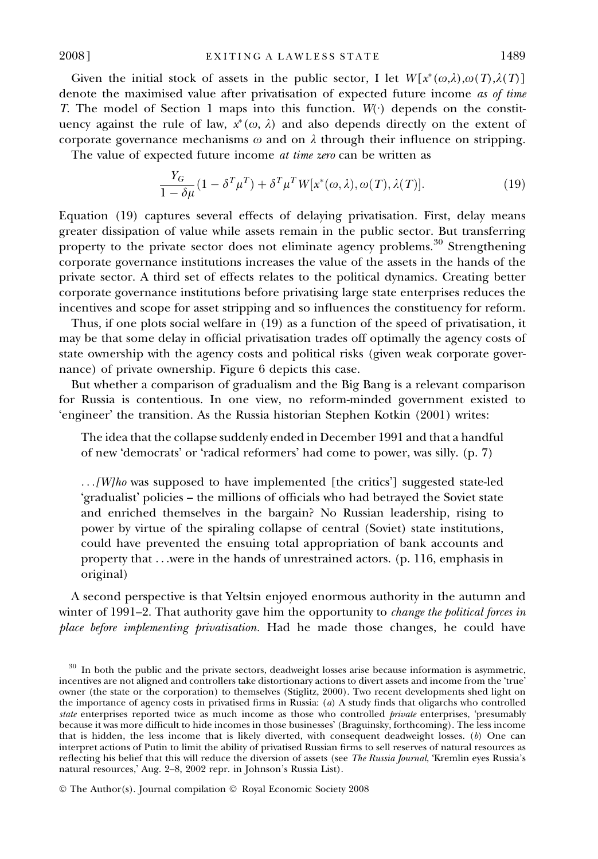Given the initial stock of assets in the public sector, I let  $W[x^*(\omega,\lambda),\omega(T),\lambda(T)]$ denote the maximised value after privatisation of expected future income as of time T. The model of Section 1 maps into this function.  $W(·)$  depends on the constituency against the rule of law,  $x^*(\omega, \lambda)$  and also depends directly on the extent of corporate governance mechanisms  $\omega$  and on  $\lambda$  through their influence on stripping.

The value of expected future income at time zero can be written as

$$
\frac{Y_G}{1 - \delta \mu} (1 - \delta^T \mu^T) + \delta^T \mu^T W[x^*(\omega, \lambda), \omega(T), \lambda(T)].
$$
\n(19)

Equation (19) captures several effects of delaying privatisation. First, delay means greater dissipation of value while assets remain in the public sector. But transferring property to the private sector does not eliminate agency problems.<sup>30</sup> Strengthening corporate governance institutions increases the value of the assets in the hands of the private sector. A third set of effects relates to the political dynamics. Creating better corporate governance institutions before privatising large state enterprises reduces the incentives and scope for asset stripping and so influences the constituency for reform.

Thus, if one plots social welfare in (19) as a function of the speed of privatisation, it may be that some delay in official privatisation trades off optimally the agency costs of state ownership with the agency costs and political risks (given weak corporate governance) of private ownership. Figure 6 depicts this case.

But whether a comparison of gradualism and the Big Bang is a relevant comparison for Russia is contentious. In one view, no reform-minded government existed to 'engineer' the transition. As the Russia historian Stephen Kotkin (2001) writes:

The idea that the collapse suddenly ended in December 1991 and that a handful of new 'democrats' or 'radical reformers' had come to power, was silly. (p. 7)

...[W]ho was supposed to have implemented [the critics] suggested state-led 'gradualist' policies - the millions of officials who had betrayed the Soviet state and enriched themselves in the bargain? No Russian leadership, rising to power by virtue of the spiraling collapse of central (Soviet) state institutions, could have prevented the ensuing total appropriation of bank accounts and property that ...were in the hands of unrestrained actors. (p. 116, emphasis in original)

A second perspective is that Yeltsin enjoyed enormous authority in the autumn and winter of 1991–2. That authority gave him the opportunity to *change the political forces in* place before implementing privatisation. Had he made those changes, he could have

<sup>&</sup>lt;sup>30</sup> In both the public and the private sectors, deadweight losses arise because information is asymmetric, incentives are not aligned and controllers take distortionary actions to divert assets and income from the 'true' owner (the state or the corporation) to themselves (Stiglitz, 2000). Two recent developments shed light on the importance of agency costs in privatised firms in Russia: (a) A study finds that oligarchs who controlled state enterprises reported twice as much income as those who controlled *private* enterprises, 'presumably because it was more difficult to hide incomes in those businesses (Braguinsky, forthcoming). The less income that is hidden, the less income that is likely diverted, with consequent deadweight losses. (b) One can interpret actions of Putin to limit the ability of privatised Russian firms to sell reserves of natural resources as reflecting his belief that this will reduce the diversion of assets (see *The Russia Journal*, 'Kremlin eyes Russia's natural resources, Aug. 2–8, 2002 repr. in Johnson's Russia List).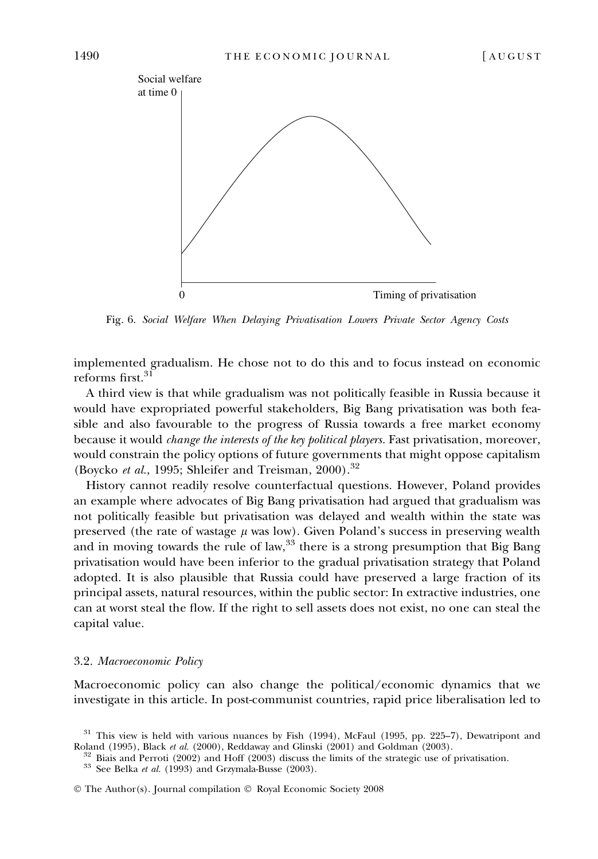

Fig. 6. Social Welfare When Delaying Privatisation Lowers Private Sector Agency Costs

implemented gradualism. He chose not to do this and to focus instead on economic reforms first.<sup>31</sup>

A third view is that while gradualism was not politically feasible in Russia because it would have expropriated powerful stakeholders, Big Bang privatisation was both feasible and also favourable to the progress of Russia towards a free market economy because it would *change the interests of the key political players*. Fast privatisation, moreover, would constrain the policy options of future governments that might oppose capitalism (Boycko et al., 1995; Shleifer and Treisman, 2000).<sup>32</sup>

History cannot readily resolve counterfactual questions. However, Poland provides an example where advocates of Big Bang privatisation had argued that gradualism was not politically feasible but privatisation was delayed and wealth within the state was preserved (the rate of wastage  $\mu$  was low). Given Poland's success in preserving wealth and in moving towards the rule of law,  $33$  there is a strong presumption that Big Bang privatisation would have been inferior to the gradual privatisation strategy that Poland adopted. It is also plausible that Russia could have preserved a large fraction of its principal assets, natural resources, within the public sector: In extractive industries, one can at worst steal the flow. If the right to sell assets does not exist, no one can steal the capital value.

### 3.2. Macroeconomic Policy

Macroeconomic policy can also change the political/economic dynamics that we investigate in this article. In post-communist countries, rapid price liberalisation led to

<sup>&</sup>lt;sup>31</sup> This view is held with various nuances by Fish (1994), McFaul (1995, pp. 225–7), Dewatripont and Roland (1995), Black *et al.* (2000), Reddaway and Glinski (2001) and Goldman (2003).

<sup>&</sup>lt;sup>32</sup> Biais and Perroti (2002) and Hoff (2003) discuss the limits of the strategic use of privatisation.<br><sup>33</sup> See Belka *et al.* (1993) and Grzymala-Busse (2003).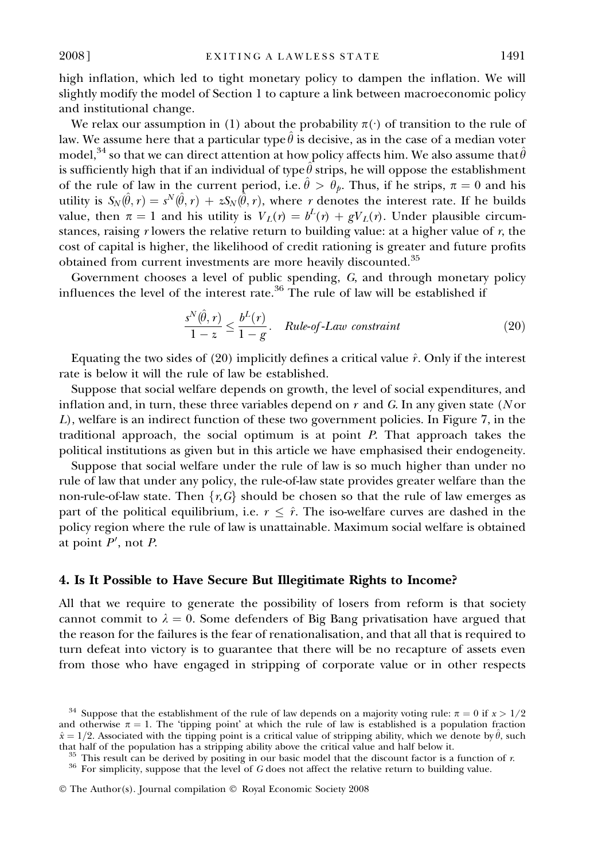high inflation, which led to tight monetary policy to dampen the inflation. We will slightly modify the model of Section 1 to capture a link between macroeconomic policy and institutional change.

We relax our assumption in (1) about the probability  $\pi(\cdot)$  of transition to the rule of law. We assume here that a particular type  $\hat{\theta}$  is decisive, as in the case of a median voter model,  $^{34}$  so that we can direct attention at how policy affects him. We also assume that  $\hat{\theta}$ is sufficiently high that if an individual of type  $\hat{\theta}$  strips, he will oppose the establishment of the rule of law in the current period, i.e.  $\hat{\theta} > \theta_b$ . Thus, if he strips,  $\pi = 0$  and his utility is  $S_N(\hat{\theta},r) = s^N(\hat{\theta},r) + zS_N(\hat{\theta},r)$ , where r denotes the interest rate. If he builds value, then  $\pi = 1$  and his utility is  $V_L(r) = b^L(r) + gV_L(r)$ . Under plausible circumstances, raising r lowers the relative return to building value: at a higher value of  $r$ , the cost of capital is higher, the likelihood of credit rationing is greater and future profits obtained from current investments are more heavily discounted.<sup>35</sup>

Government chooses a level of public spending, G, and through monetary policy influences the level of the interest rate.<sup>36</sup> The rule of law will be established if

$$
\frac{s^N(\hat{\theta},r)}{1-z} \le \frac{b^L(r)}{1-g}.
$$
 *Rule-of-Law constraint* (20)

Equating the two sides of (20) implicitly defines a critical value  $\hat{r}$ . Only if the interest rate is below it will the rule of law be established.

Suppose that social welfare depends on growth, the level of social expenditures, and inflation and, in turn, these three variables depend on  $r$  and  $G$ . In any given state (N or L), welfare is an indirect function of these two government policies. In Figure 7, in the traditional approach, the social optimum is at point P. That approach takes the political institutions as given but in this article we have emphasised their endogeneity.

Suppose that social welfare under the rule of law is so much higher than under no rule of law that under any policy, the rule-of-law state provides greater welfare than the non-rule-of-law state. Then  $\{r, G\}$  should be chosen so that the rule of law emerges as part of the political equilibrium, i.e.  $r \leq \hat{r}$ . The iso-welfare curves are dashed in the policy region where the rule of law is unattainable. Maximum social welfare is obtained at point  $P'$ , not P.

# 4. Is It Possible to Have Secure But Illegitimate Rights to Income?

All that we require to generate the possibility of losers from reform is that society cannot commit to  $\lambda = 0$ . Some defenders of Big Bang privatisation have argued that the reason for the failures is the fear of renationalisation, and that all that is required to turn defeat into victory is to guarantee that there will be no recapture of assets even from those who have engaged in stripping of corporate value or in other respects

<sup>&</sup>lt;sup>34</sup> Suppose that the establishment of the rule of law depends on a majority voting rule:  $\pi = 0$  if  $x > 1/2$ and otherwise  $\pi = 1$ . The 'tipping point' at which the rule of law is established is a population fraction  $\hat{x} = 1/2$ . Associated with the tipping point is a critical value of stripping ability, which we denote by  $\hat{\theta}$ , such that half of the population has a stripping ability above the critical value and half below it.

 $35$  This result can be derived by positing in our basic model that the discount factor is a function of r.  $36$  For simplicity, suppose that the level of G does not affect the relative return to building value.

<sup>©</sup> The Author(s). Journal compilation © Royal Economic Society 2008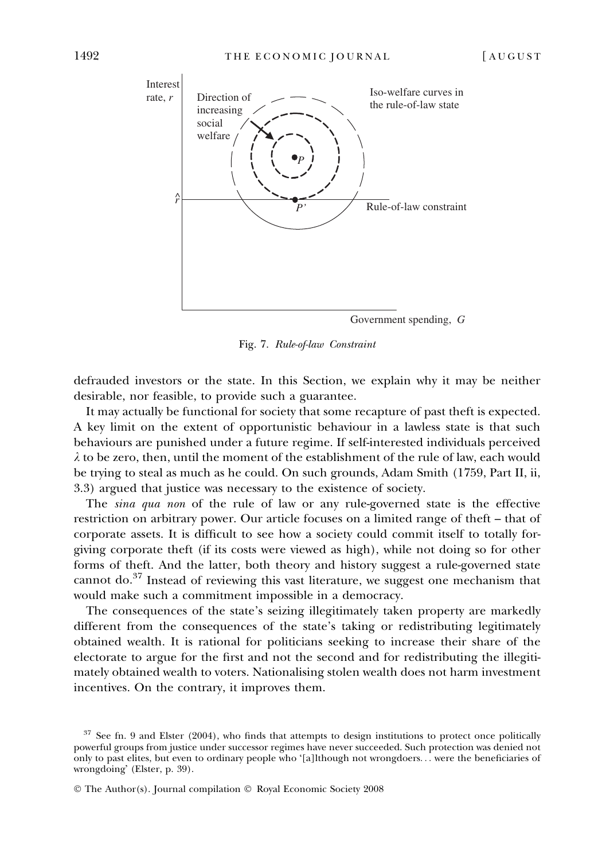

Government spending, *G*

Fig. 7. Rule-of-law Constraint

defrauded investors or the state. In this Section, we explain why it may be neither desirable, nor feasible, to provide such a guarantee.

It may actually be functional for society that some recapture of past theft is expected. A key limit on the extent of opportunistic behaviour in a lawless state is that such behaviours are punished under a future regime. If self-interested individuals perceived  $\lambda$  to be zero, then, until the moment of the establishment of the rule of law, each would be trying to steal as much as he could. On such grounds, Adam Smith (1759, Part II, ii, 3.3) argued that justice was necessary to the existence of society.

The sina qua non of the rule of law or any rule-governed state is the effective restriction on arbitrary power. Our article focuses on a limited range of theft – that of corporate assets. It is difficult to see how a society could commit itself to totally forgiving corporate theft (if its costs were viewed as high), while not doing so for other forms of theft. And the latter, both theory and history suggest a rule-governed state cannot do. $37$  Instead of reviewing this vast literature, we suggest one mechanism that would make such a commitment impossible in a democracy.

The consequences of the state's seizing illegitimately taken property are markedly different from the consequences of the state's taking or redistributing legitimately obtained wealth. It is rational for politicians seeking to increase their share of the electorate to argue for the first and not the second and for redistributing the illegitimately obtained wealth to voters. Nationalising stolen wealth does not harm investment incentives. On the contrary, it improves them.

 $37$  See fn. 9 and Elster (2004), who finds that attempts to design institutions to protect once politically powerful groups from justice under successor regimes have never succeeded. Such protection was denied not only to past elites, but even to ordinary people who -[a]lthough not wrongdoers... were the beneficiaries of wrongdoing' (Elster, p. 39).

<sup>©</sup> The Author(s). Journal compilation © Royal Economic Society 2008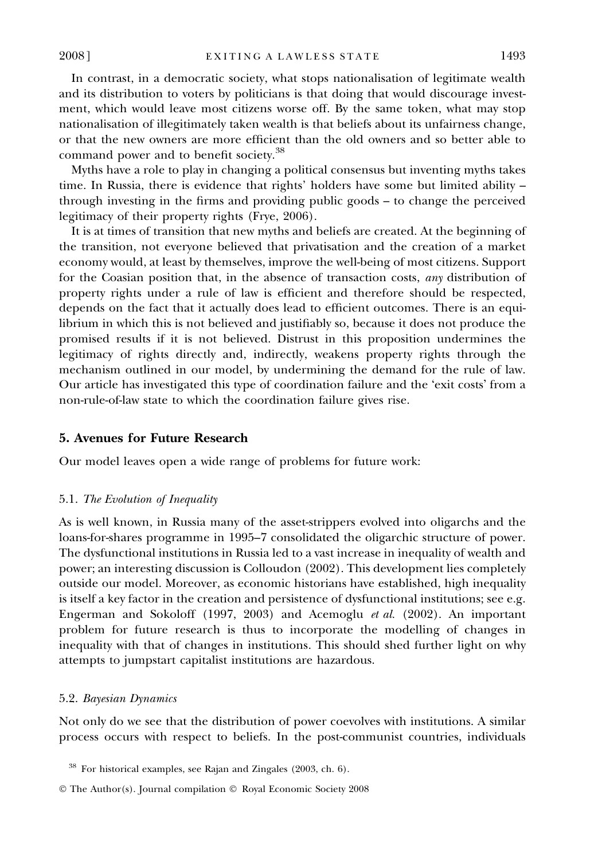In contrast, in a democratic society, what stops nationalisation of legitimate wealth and its distribution to voters by politicians is that doing that would discourage investment, which would leave most citizens worse off. By the same token, what may stop nationalisation of illegitimately taken wealth is that beliefs about its unfairness change, or that the new owners are more efficient than the old owners and so better able to command power and to benefit society.<sup>38</sup>

Myths have a role to play in changing a political consensus but inventing myths takes time. In Russia, there is evidence that rights' holders have some but limited ability – through investing in the firms and providing public goods – to change the perceived legitimacy of their property rights (Frye, 2006).

It is at times of transition that new myths and beliefs are created. At the beginning of the transition, not everyone believed that privatisation and the creation of a market economy would, at least by themselves, improve the well-being of most citizens. Support for the Coasian position that, in the absence of transaction costs, any distribution of property rights under a rule of law is efficient and therefore should be respected, depends on the fact that it actually does lead to efficient outcomes. There is an equilibrium in which this is not believed and justifiably so, because it does not produce the promised results if it is not believed. Distrust in this proposition undermines the legitimacy of rights directly and, indirectly, weakens property rights through the mechanism outlined in our model, by undermining the demand for the rule of law. Our article has investigated this type of coordination failure and the 'exit costs' from a non-rule-of-law state to which the coordination failure gives rise.

## 5. Avenues for Future Research

Our model leaves open a wide range of problems for future work:

# 5.1. The Evolution of Inequality

As is well known, in Russia many of the asset-strippers evolved into oligarchs and the loans-for-shares programme in 1995–7 consolidated the oligarchic structure of power. The dysfunctional institutions in Russia led to a vast increase in inequality of wealth and power; an interesting discussion is Colloudon (2002). This development lies completely outside our model. Moreover, as economic historians have established, high inequality is itself a key factor in the creation and persistence of dysfunctional institutions; see e.g. Engerman and Sokoloff (1997, 2003) and Acemoglu et al. (2002). An important problem for future research is thus to incorporate the modelling of changes in inequality with that of changes in institutions. This should shed further light on why attempts to jumpstart capitalist institutions are hazardous.

### 5.2. Bayesian Dynamics

Not only do we see that the distribution of power coevolves with institutions. A similar process occurs with respect to beliefs. In the post-communist countries, individuals

<sup>38</sup> For historical examples, see Rajan and Zingales (2003, ch. 6).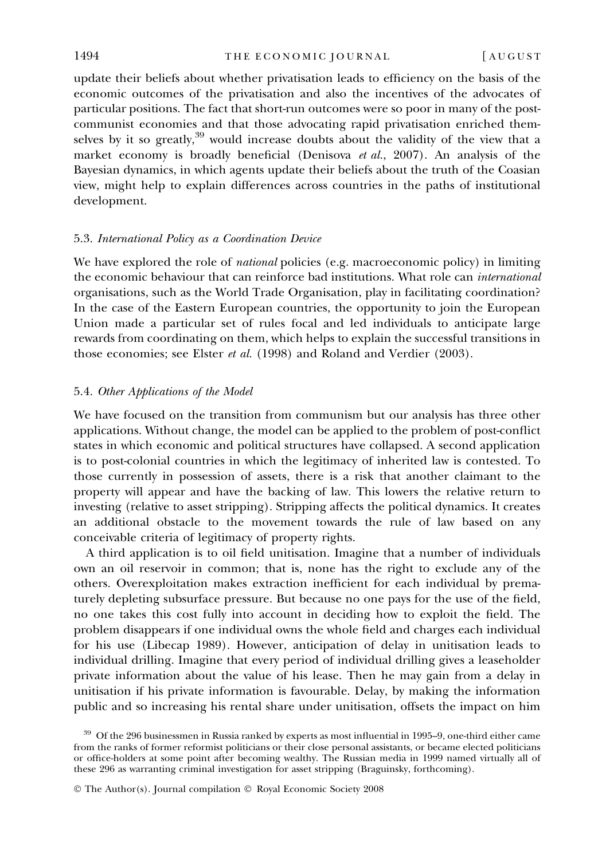update their beliefs about whether privatisation leads to efficiency on the basis of the economic outcomes of the privatisation and also the incentives of the advocates of particular positions. The fact that short-run outcomes were so poor in many of the postcommunist economies and that those advocating rapid privatisation enriched themselves by it so greatly,<sup>39</sup> would increase doubts about the validity of the view that a market economy is broadly beneficial (Denisova et al., 2007). An analysis of the Bayesian dynamics, in which agents update their beliefs about the truth of the Coasian view, might help to explain differences across countries in the paths of institutional development.

### 5.3. International Policy as a Coordination Device

We have explored the role of *national* policies (e.g. macroeconomic policy) in limiting the economic behaviour that can reinforce bad institutions. What role can *international* organisations, such as the World Trade Organisation, play in facilitating coordination? In the case of the Eastern European countries, the opportunity to join the European Union made a particular set of rules focal and led individuals to anticipate large rewards from coordinating on them, which helps to explain the successful transitions in those economies; see Elster et al. (1998) and Roland and Verdier (2003).

### 5.4. Other Applications of the Model

We have focused on the transition from communism but our analysis has three other applications. Without change, the model can be applied to the problem of post-conflict states in which economic and political structures have collapsed. A second application is to post-colonial countries in which the legitimacy of inherited law is contested. To those currently in possession of assets, there is a risk that another claimant to the property will appear and have the backing of law. This lowers the relative return to investing (relative to asset stripping). Stripping affects the political dynamics. It creates an additional obstacle to the movement towards the rule of law based on any conceivable criteria of legitimacy of property rights.

A third application is to oil field unitisation. Imagine that a number of individuals own an oil reservoir in common; that is, none has the right to exclude any of the others. Overexploitation makes extraction inefficient for each individual by prematurely depleting subsurface pressure. But because no one pays for the use of the field, no one takes this cost fully into account in deciding how to exploit the field. The problem disappears if one individual owns the whole field and charges each individual for his use (Libecap 1989). However, anticipation of delay in unitisation leads to individual drilling. Imagine that every period of individual drilling gives a leaseholder private information about the value of his lease. Then he may gain from a delay in unitisation if his private information is favourable. Delay, by making the information public and so increasing his rental share under unitisation, offsets the impact on him

<sup>39</sup> Of the 296 businessmen in Russia ranked by experts as most influential in 1995–9, one-third either came from the ranks of former reformist politicians or their close personal assistants, or became elected politicians or office-holders at some point after becoming wealthy. The Russian media in 1999 named virtually all of these 296 as warranting criminal investigation for asset stripping (Braguinsky, forthcoming).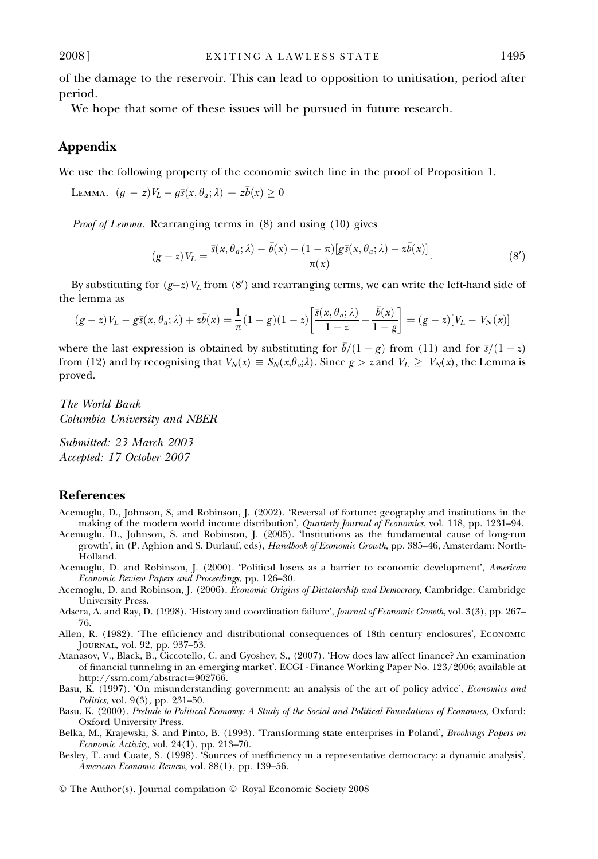of the damage to the reservoir. This can lead to opposition to unitisation, period after period.

We hope that some of these issues will be pursued in future research.

### Appendix

We use the following property of the economic switch line in the proof of Proposition 1.

Lemma.  $(g - z)V_L - g\bar{s}(x, \theta_a; \lambda) + z\bar{b}(x) \ge 0$ 

Proof of Lemma. Rearranging terms in (8) and using (10) gives

$$
(g-z)V_L = \frac{\bar{s}(x,\theta_a;\lambda) - \bar{b}(x) - (1-\pi)[g\bar{s}(x,\theta_a;\lambda) - z\bar{b}(x)]}{\pi(x)}.
$$
\n(8')

By substituting for  $(g-z)V_L$  from  $(8')$  and rearranging terms, we can write the left-hand side of the lemma as

$$
(g-z)V_L - g\overline{s}(x,\theta_a;\lambda) + z\overline{b}(x) = \frac{1}{\pi}(1-g)(1-z)\left[\frac{\overline{s}(x,\theta_a;\lambda)}{1-z} - \frac{\overline{b}(x)}{1-g}\right] = (g-z)[V_L - V_N(x)]
$$

where the last expression is obtained by substituting for  $\bar{b}/(1-g)$  from (11) and for  $\bar{s}/(1-z)$ from (12) and by recognising that  $V_N(x) \equiv S_N(x, \theta_a; \lambda)$ . Since  $g > z$  and  $V_L \geq V_N(x)$ , the Lemma is proved.

The World Bank Columbia University and NBER

Submitted: 23 March 2003 Accepted: 17 October 2007

## References

- Acemoglu, D., Johnson, S, and Robinson, J. (2002). 'Reversal of fortune: geography and institutions in the making of the modern world income distribution', *Quarterly Journal of Economics*, vol. 118, pp. 1231–94.
- Acemoglu, D., Johnson, S. and Robinson, J. (2005). 'Institutions as the fundamental cause of long-run growth', in (P. Aghion and S. Durlauf, eds), Handbook of Economic Growth, pp. 385-46, Amsterdam: North-Holland.
- Acemoglu, D. and Robinson, J. (2000). 'Political losers as a barrier to economic development', American Economic Review Papers and Proceedings, pp. 126–30.
- Acemoglu, D. and Robinson, J. (2006). Economic Origins of Dictatorship and Democracy, Cambridge: Cambridge University Press.
- Adsera, A. and Ray, D. (1998). 'History and coordination failure', *Journal of Economic Growth*, vol. 3(3), pp. 267– 76.
- Allen, R. (1982). 'The efficiency and distributional consequences of 18th century enclosures', ECONOMIC Journal, vol. 92, pp. 937–53.
- Atanasov, V., Black, B., Ciccotello, C. and Gyoshev, S., (2007). 'How does law affect finance? An examination of financial tunneling in an emerging market, ECGI - Finance Working Paper No. 123/2006; available at http://ssrn.com/abstract=902766.
- Basu, K. (1997). 'On misunderstanding government: an analysis of the art of policy advice', Economics and Politics, vol. 9(3), pp. 231–50.
- Basu, K. (2000). Prelude to Political Economy: A Study of the Social and Political Foundations of Economics, Oxford: Oxford University Press.
- Belka, M., Krajewski, S. and Pinto, B. (1993). 'Transforming state enterprises in Poland', Brookings Papers on Economic Activity, vol. 24(1), pp. 213–70.
- Besley, T. and Coate, S. (1998). 'Sources of inefficiency in a representative democracy: a dynamic analysis', American Economic Review, vol. 88(1), pp. 139–56.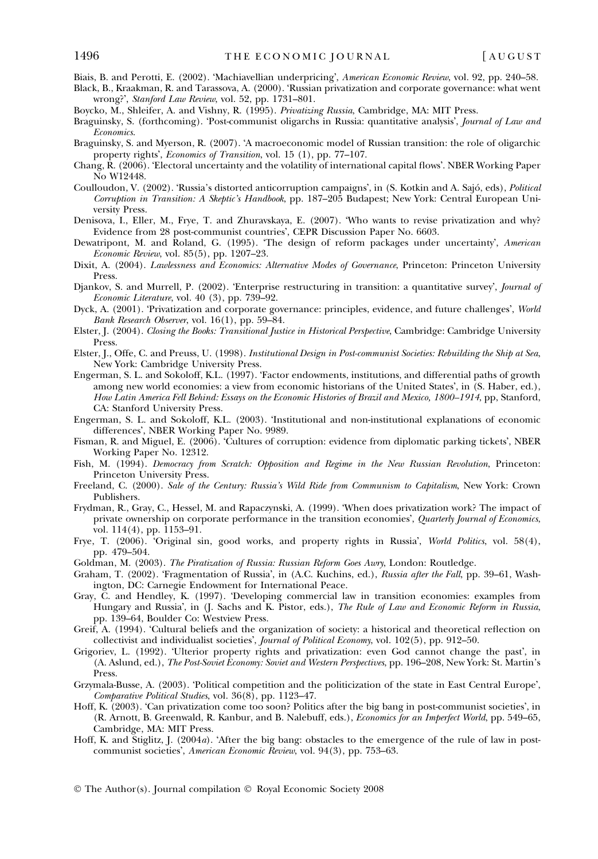- Biais, B. and Perotti, E. (2002). 'Machiavellian underpricing', *American Economic Review*, vol. 92, pp. 240–58.
- Black, B., Kraakman, R. and Tarassova, A. (2000). -Russian privatization and corporate governance: what went wrong?', Stanford Law Review, vol. 52, pp. 1731-801.
- Boycko, M., Shleifer, A. and Vishny, R. (1995). Privatizing Russia, Cambridge, MA: MIT Press.
- Braguinsky, S. (forthcoming). 'Post-communist oligarchs in Russia: quantitative analysis', Journal of Law and Economics.
- Braguinsky, S. and Myerson, R. (2007). 'A macroeconomic model of Russian transition: the role of oligarchic property rights', Economics of Transition, vol. 15 (1), pp. 77-107.
- Chang, R. (2006). 'Electoral uncertainty and the volatility of international capital flows'. NBER Working Paper No W12448.
- Coulloudon, V. (2002). 'Russia's distorted anticorruption campaigns', in (S. Kotkin and A. Sajó, eds), *Politica* Corruption in Transition: A Skeptic's Handbook, pp. 187–205 Budapest; New York: Central European University Press.
- Denisova, I., Eller, M., Frye, T. and Zhuravskaya, E. (2007). 'Who wants to revise privatization and why? Evidence from 28 post-communist countries, CEPR Discussion Paper No. 6603.
- Dewatripont, M. and Roland, G. (1995). 'The design of reform packages under uncertainty', American Economic Review, vol. 85(5), pp. 1207–23.
- Dixit, A. (2004). Lawlessness and Economics: Alternative Modes of Governance, Princeton: Princeton University Press.
- Djankov, S. and Murrell, P. (2002). 'Enterprise restructuring in transition: a quantitative survey', *Journal of* Economic Literature, vol. 40 (3), pp. 739–92.
- Dyck, A. (2001). 'Privatization and corporate governance: principles, evidence, and future challenges', World Bank Research Observer, vol. 16(1), pp. 59–84.
- Elster, J. (2004). Closing the Books: Transitional Justice in Historical Perspective, Cambridge: Cambridge University Press.
- Elster, J., Offe, C. and Preuss, U. (1998). Institutional Design in Post-communist Societies: Rebuilding the Ship at Sea, New York: Cambridge University Press.
- Engerman, S. L. and Sokoloff, K.L. (1997). 'Factor endowments, institutions, and differential paths of growth among new world economies: a view from economic historians of the United States, in (S. Haber, ed.), How Latin America Fell Behind: Essays on the Economic Histories of Brazil and Mexico, 1800–1914, pp, Stanford, CA: Stanford University Press.
- Engerman, S. L. and Sokoloff, K.L. (2003). -Institutional and non-institutional explanations of economic differences', NBER Working Paper No. 9989.
- Fisman, R. and Miguel, E. (2006). -Cultures of corruption: evidence from diplomatic parking tickets, NBER Working Paper No. 12312.
- Fish, M. (1994). Democracy from Scratch: Opposition and Regime in the New Russian Revolution, Princeton: Princeton University Press.
- Freeland, C. (2000). Sale of the Century: Russia's Wild Ride from Communism to Capitalism, New York: Crown Publishers.
- Frydman, R., Gray, C., Hessel, M. and Rapaczynski, A. (1999). 'When does privatization work? The impact of private ownership on corporate performance in the transition economies', Quarterly Journal of Economics, vol.  $114(4)$ , pp.  $1153-91$ .
- Frye, T. (2006). 'Original sin, good works, and property rights in Russia', World Politics, vol. 58(4), pp. 479–504.
- Goldman, M. (2003). The Piratization of Russia: Russian Reform Goes Awry, London: Routledge.
- Graham, T. (2002). 'Fragmentation of Russia', in (A.C. Kuchins, ed.), *Russia after the Fall*, pp. 39–61, Washington, DC: Carnegie Endowment for International Peace.
- Gray, C. and Hendley, K. (1997). 'Developing commercial law in transition economies: examples from Hungary and Russia', in (J. Sachs and K. Pistor, eds.), The Rule of Law and Economic Reform in Russia, pp. 139–64, Boulder Co: Westview Press.
- Greif, A. (1994). 'Cultural beliefs and the organization of society: a historical and theoretical reflection on collectivist and individualist societies', Journal of Political Economy, vol. 102(5), pp. 912-50.
- Grigoriev, L. (1992). 'Ulterior property rights and privatization: even God cannot change the past', in (A. Aslund, ed.), The Post-Soviet Economy: Soviet and Western Perspectives, pp. 196–208, New York: St. Martin's Press.
- Grzymala-Busse, A. (2003). Political competition and the politicization of the state in East Central Europe', Comparative Political Studies, vol. 36(8), pp. 1123–47.
- Hoff, K. (2003). -Can privatization come too soon? Politics after the big bang in post-communist societies, in (R. Arnott, B. Greenwald, R. Kanbur, and B. Nalebuff, eds.), Economics for an Imperfect World, pp. 549–65, Cambridge, MA: MIT Press.
- Hoff, K. and Stiglitz, J. (2004a). -After the big bang: obstacles to the emergence of the rule of law in postcommunist societies', American Economic Review, vol. 94(3), pp. 753-63.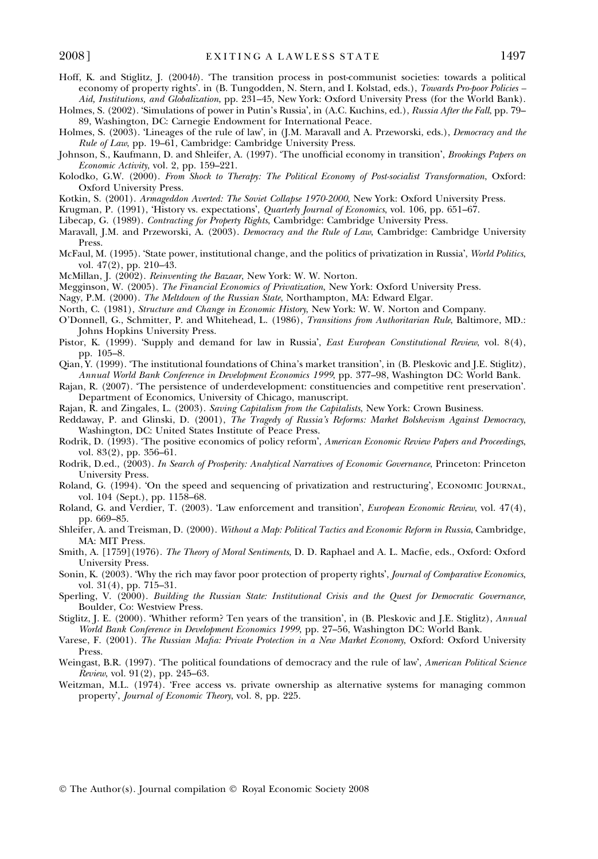- Hoff, K. and Stiglitz, J. (2004*b*). 'The transition process in post-communist societies: towards a political economy of property rights'. in (B. Tungodden, N. Stern, and I. Kolstad, eds.), Towards Pro-poor Policies – Aid, Institutions, and Globalization, pp. 231–45, New York: Oxford University Press (for the World Bank).
- Holmes, S. (2002). 'Simulations of power in Putin's Russia', in (A.C. Kuchins, ed.), *Russia After the Fall*, pp. 79– 89, Washington, DC: Carnegie Endowment for International Peace.
- Holmes, S. (2003). 'Lineages of the rule of law', in (J.M. Maravall and A. Przeworski, eds.), *Democracy and the* Rule of Law, pp. 19–61, Cambridge: Cambridge University Press.
- Johnson, S., Kaufmann, D. and Shleifer, A. (1997). 'The unofficial economy in transition', *Brookings Papers on* Economic Activity, vol. 2, pp. 159–221.
- Kolodko, G.W. (2000). From Shock to Therapy: The Political Economy of Post-socialist Transformation, Oxford: Oxford University Press.

Kotkin, S. (2001). Armageddon Averted: The Soviet Collapse 1970-2000, New York: Oxford University Press.

Krugman, P. (1991), 'History vs. expectations', *Quarterly Journal of Economics*, vol. 106, pp. 651–67.

- Libecap, G. (1989). Contracting for Property Rights, Cambridge: Cambridge University Press.
- Maravall, J.M. and Przeworski, A. (2003). Democracy and the Rule of Law, Cambridge: Cambridge University Press.
- McFaul, M. (1995). 'State power, institutional change, and the politics of privatization in Russia', *World Politics*, vol. 47(2), pp. 210–43.
- McMillan, J. (2002). Reinventing the Bazaar, New York: W. W. Norton.
- Megginson, W. (2005). The Financial Economics of Privatization, New York: Oxford University Press.
- Nagy, P.M. (2000). The Meltdown of the Russian State, Northampton, MA: Edward Elgar.
- North, C. (1981), Structure and Change in Economic History, New York: W. W. Norton and Company.
- O'Donnell, G., Schmitter, P. and Whitehead, L. (1986), Transitions from Authoritarian Rule, Baltimore, MD.: Johns Hopkins University Press.
- Pistor, K. (1999). 'Supply and demand for law in Russia', *East European Constitutional Review*, vol. 8(4), pp. 105–8.
- Qian, Y. (1999). 'The institutional foundations of China's market transition', in (B. Pleskovic and J.E. Stiglitz), Annual World Bank Conference in Development Economics 1999, pp. 377–98, Washington DC: World Bank.
- Rajan, R. (2007). 'The persistence of underdevelopment: constituencies and competitive rent preservation'. Department of Economics, University of Chicago, manuscript.

Rajan, R. and Zingales, L. (2003). Saving Capitalism from the Capitalists, New York: Crown Business.

- Reddaway, P. and Glinski, D. (2001), The Tragedy of Russia's Reforms: Market Bolshevism Against Democracy, Washington, DC: United States Institute of Peace Press.
- Rodrik, D. (1993). 'The positive economics of policy reform', American Economic Review Papers and Proceedings, vol. 83(2), pp. 356–61.
- Rodrik, D.ed., (2003). In Search of Prosperity: Analytical Narratives of Economic Governance, Princeton: Princeton University Press.
- Roland, G. (1994). 'On the speed and sequencing of privatization and restructuring', ECONOMIC JOURNAL, vol. 104 (Sept.), pp. 1158–68.
- Roland, G. and Verdier, T. (2003). 'Law enforcement and transition', European Economic Review, vol. 47(4), pp. 669–85.
- Shleifer, A. and Treisman, D. (2000). Without a Map: Political Tactics and Economic Reform in Russia, Cambridge, MA: MIT Press.
- Smith, A. [1759](1976). The Theory of Moral Sentiments, D. D. Raphael and A. L. Macfie, eds., Oxford: Oxford University Press.
- Sonin, K. (2003). 'Why the rich may favor poor protection of property rights', Journal of Comparative Economics, vol. 31(4), pp. 715–31.
- Sperling, V. (2000). Building the Russian State: Institutional Crisis and the Quest for Democratic Governance, Boulder, Co: Westview Press.
- Stiglitz, J. E. (2000). 'Whither reform? Ten years of the transition', in (B. Pleskovic and J.E. Stiglitz), Annuai World Bank Conference in Development Economics 1999, pp. 27–56, Washington DC: World Bank.
- Varese, F. (2001). The Russian Mafia: Private Protection in a New Market Economy, Oxford: Oxford University Press.
- Weingast, B.R. (1997). 'The political foundations of democracy and the rule of law', American Political Science Review, vol. 91(2), pp. 245–63.
- Weitzman, M.L. (1974). 'Free access vs. private ownership as alternative systems for managing common property, Journal of Economic Theory, vol. 8, pp. 225.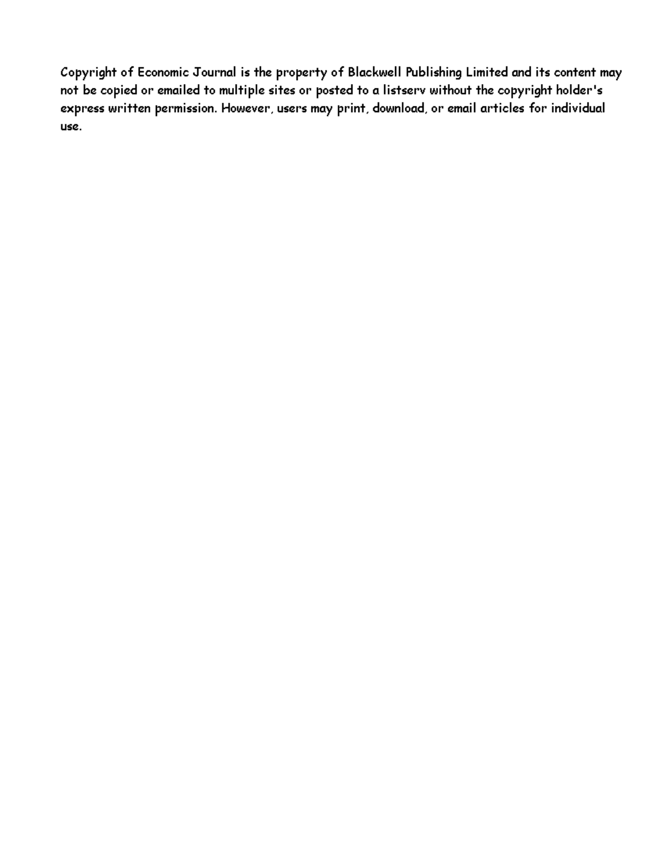Copyright of Economic Journal is the property of Blackwell Publishing Limited and its content may not be copied or emailed to multiple sites or posted to a listserv without the copyright holder's express written permission. However, users may print, download, or email articles for individual use.